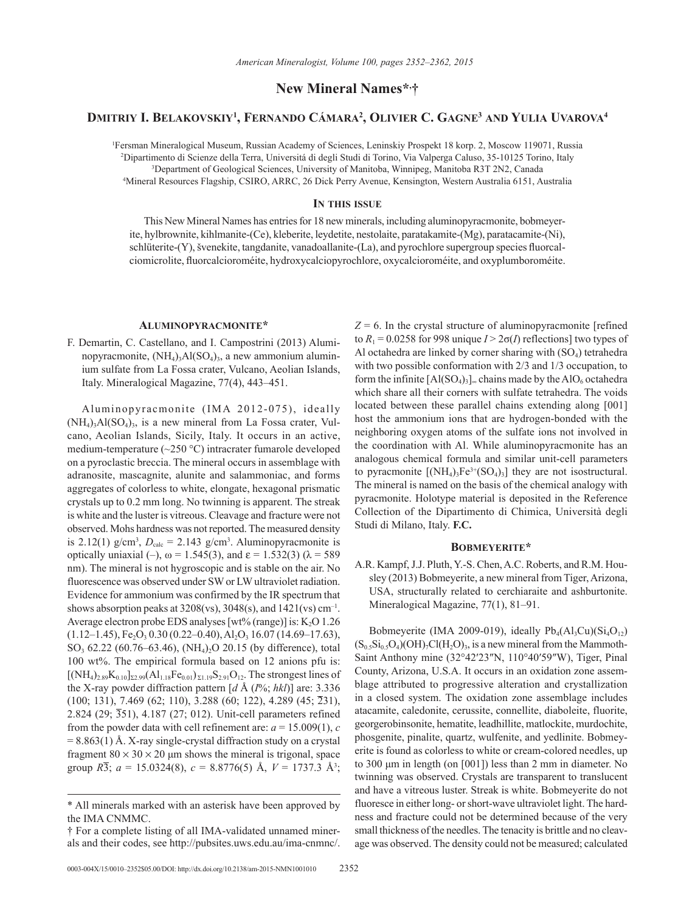**New Mineral Names\*, †**

# **Dmitriy I. Belakovskiy1 , Fernando Cámara2 , Olivier C. Gagne3 and Yulia Uvarova4**

 Fersman Mineralogical Museum, Russian Academy of Sciences, Leninskiy Prospekt 18 korp. 2, Moscow 119071, Russia Dipartimento di Scienze della Terra, Universitá di degli Studi di Torino, Via Valperga Caluso, 35-10125 Torino, Italy Department of Geological Sciences, University of Manitoba, Winnipeg, Manitoba R3T 2N2, Canada Mineral Resources Flagship, CSIRO, ARRC, 26 Dick Perry Avenue, Kensington, Western Australia 6151, Australia

# **In this issue**

This New Mineral Names has entries for 18 new minerals, including aluminopyracmonite, bobmeyerite, hylbrownite, kihlmanite-(Ce), kleberite, leydetite, nestolaite, paratakamite-(Mg), paratacamite-(Ni), schlüterite-(Y), švenekite, tangdanite, vanadoallanite-(La), and pyrochlore supergroup species fluorcalciomicrolite, fluorcalcioroméite, hydroxycalciopyrochlore, oxycalcioroméite, and oxyplumboroméite.

### **Aluminopyracmonite\***

F. Demartin, C. Castellano, and I. Campostrini (2013) Aluminopyracmonite,  $(NH_4)$ <sub>2</sub>Al(SO<sub>4</sub>)<sub>3</sub>, a new ammonium aluminium sulfate from La Fossa crater, Vulcano, Aeolian Islands, Italy. Mineralogical Magazine, 77(4), 443–451.

Aluminopyracmonite (IMA 2012-075), ideally  $(NH_4)$ <sub>3</sub>Al $(SO_4)$ <sub>3</sub>, is a new mineral from La Fossa crater, Vulcano, Aeolian Islands, Sicily, Italy. It occurs in an active, medium-temperature (~250 °C) intracrater fumarole developed on a pyroclastic breccia. The mineral occurs in assemblage with adranosite, mascagnite, alunite and salammoniac, and forms aggregates of colorless to white, elongate, hexagonal prismatic crystals up to 0.2 mm long. No twinning is apparent. The streak is white and the luster is vitreous. Cleavage and fracture were not observed. Mohs hardness was not reported. The measured density is 2.12(1)  $g/cm^3$ ,  $D_{calc} = 2.143$   $g/cm^3$ . Aluminopyracmonite is optically uniaxial (–),  $ω = 1.545(3)$ , and  $ε = 1.532(3)$  (λ = 589 nm). The mineral is not hygroscopic and is stable on the air. No fluorescence was observed under SW or LW ultraviolet radiation. Evidence for ammonium was confirmed by the IR spectrum that shows absorption peaks at  $3208(vs)$ ,  $3048(s)$ , and  $1421(vs)$  cm<sup>-1</sup>. Average electron probe EDS analyses [wt% (range)] is:  $K_2O$  1.26  $(1.12-1.45),$  Fe<sub>2</sub>O<sub>3</sub> 0.30 (0.22–0.40), Al<sub>2</sub>O<sub>3</sub> 16.07 (14.69–17.63), SO<sub>3</sub> 62.22 (60.76–63.46), (NH<sub>4</sub>)<sub>2</sub>O 20.15 (by difference), total 100 wt%. The empirical formula based on 12 anions pfu is:  $[(NH_4)_{2.89}K_{0.10}]_{\Sigma2.99}(Al_{1.18}Fe_{0.01})_{\Sigma1.19}S_{2.91}O_{12}$ . The strongest lines of the X-ray powder diffraction pattern [*d* Å (*I*%; *hkl*)] are: 3.336 (100; 131), 7.469 (62; 110), 3.288 (60; 122), 4.289 (45; 231), 2.824 (29; 351), 4.187 (27; 012). Unit-cell parameters refined from the powder data with cell refinement are:  $a = 15.009(1)$ , *c*  $= 8.863(1)$  Å. X-ray single-crystal diffraction study on a crystal fragment  $80 \times 30 \times 20$  µm shows the mineral is trigonal, space group *R*3; *a* = 15.0324(8), *c* = 8.8776(5) Å, *V* = 1737.3 Å3 ;  $Z = 6$ . In the crystal structure of aluminopyracmonite [refined] to  $R_1 = 0.0258$  for 998 unique  $I > 2\sigma(I)$  reflections] two types of Al octahedra are linked by corner sharing with  $(SO<sub>4</sub>)$  tetrahedra with two possible conformation with 2/3 and 1/3 occupation, to form the infinite  $[A I(SO_4)_3]_{\infty}$  chains made by the AlO<sub>6</sub> octahedra which share all their corners with sulfate tetrahedra. The voids located between these parallel chains extending along [001] host the ammonium ions that are hydrogen-bonded with the neighboring oxygen atoms of the sulfate ions not involved in the coordination with Al. While aluminopyracmonite has an analogous chemical formula and similar unit-cell parameters to pyracmonite  $[(\text{NH}_4)_3\text{Fe}^{3+}(\text{SO}_4)_3]$  they are not isostructural. The mineral is named on the basis of the chemical analogy with pyracmonite. Holotype material is deposited in the Reference Collection of the Dipartimento di Chimica, Università degli Studi di Milano, Italy. **F.C.**

#### **Bobmeyerite\***

A.R. Kampf, J.J. Pluth, Y.-S. Chen, A.C. Roberts, and R.M. Housley (2013) Bobmeyerite, a new mineral from Tiger, Arizona, USA, structurally related to cerchiaraite and ashburtonite. Mineralogical Magazine, 77(1), 81–91.

Bobmeyerite (IMA 2009-019), ideally  $Pb_4(A1_3Cu)(Si_4O_{12})$  $(S_{0.5}Si_{0.5}O_4)(OH)$ <sub>7</sub>Cl(H<sub>2</sub>O)<sub>3</sub>, is a new mineral from the Mammoth-Saint Anthony mine (32°42′23″N, 110°40′59″W), Tiger, Pinal County, Arizona, U.S.A. It occurs in an oxidation zone assemblage attributed to progressive alteration and crystallization in a closed system. The oxidation zone assemblage includes atacamite, caledonite, cerussite, connellite, diaboleite, fluorite, georgerobinsonite, hematite, leadhillite, matlockite, murdochite, phosgenite, pinalite, quartz, wulfenite, and yedlinite. Bobmeyerite is found as colorless to white or cream-colored needles, up to 300 μm in length (on [001]) less than 2 mm in diameter. No twinning was observed. Crystals are transparent to translucent and have a vitreous luster. Streak is white. Bobmeyerite do not fluoresce in either long- or short-wave ultraviolet light. The hardness and fracture could not be determined because of the very small thickness of the needles. The tenacity is brittle and no cleavage was observed. The density could not be measured; calculated

<sup>\*</sup> All minerals marked with an asterisk have been approved by the IMA CNMMC.

<sup>†</sup> For a complete listing of all IMA-validated unnamed minerals and their codes, see http://pubsites.uws.edu.au/ima-cnmnc/.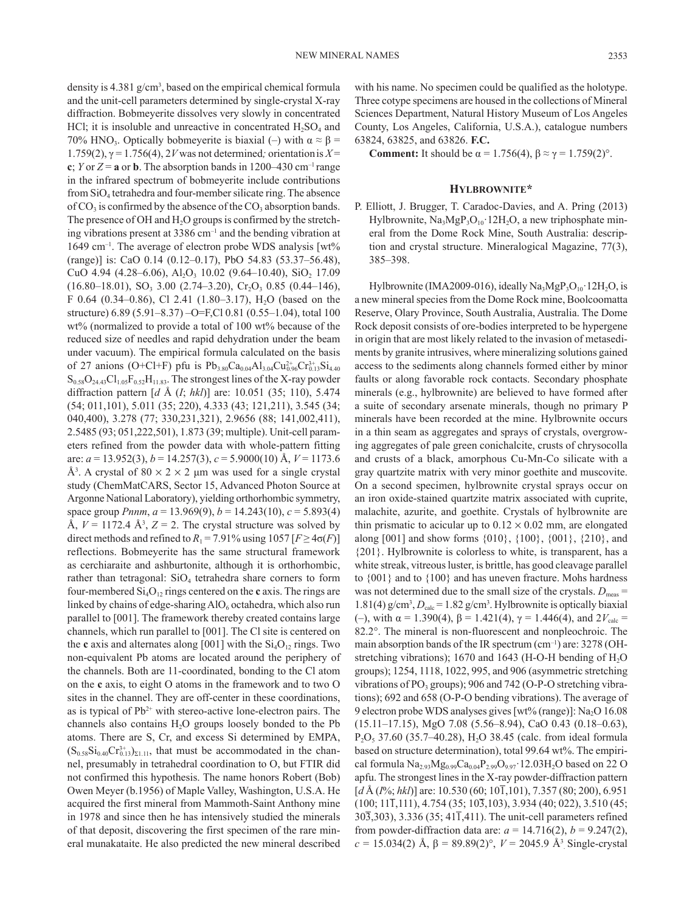density is 4.381 g/cm3 , based on the empirical chemical formula and the unit-cell parameters determined by single-crystal X-ray diffraction. Bobmeyerite dissolves very slowly in concentrated HCl; it is insoluble and unreactive in concentrated  $H_2SO_4$  and 70% HNO<sub>3</sub>. Optically bobmeyerite is biaxial (–) with  $\alpha \approx \beta$  = 1.759(2), γ = 1.756(4), 2*V* was not determined*;* orientationis *X* = **c**; *Y* or  $Z = \mathbf{a}$  or **b**. The absorption bands in 1200–430 cm<sup>-1</sup> range in the infrared spectrum of bobmeyerite include contributions from  $SiO<sub>4</sub>$  tetrahedra and four-member silicate ring. The absence of  $CO<sub>3</sub>$  is confirmed by the absence of the  $CO<sub>3</sub>$  absorption bands. The presence of OH and  $H_2O$  groups is confirmed by the stretching vibrations present at  $3386 \text{ cm}^{-1}$  and the bending vibration at 1649 cm<sup>-1</sup>. The average of electron probe WDS analysis [wt% (range)] is: CaO 0.14 (0.12–0.17), PbO 54.83 (53.37–56.48), CuO 4.94 (4.28–6.06), Al<sub>2</sub>O<sub>3</sub> 10.02 (9.64–10.40), SiO<sub>2</sub> 17.09  $(16.80-18.01)$ , SO<sub>3</sub> 3.00  $(2.74-3.20)$ , Cr<sub>2</sub>O<sub>3</sub> 0.85  $(0.44-146)$ , F 0.64 (0.34–0.86), Cl 2.41 (1.80–3.17), H<sub>2</sub>O (based on the structure) 6.89 (5.91–8.37) –O=F,Cl 0.81 (0.55–1.04), total 100 wt% (normalized to provide a total of 100 wt% because of the reduced size of needles and rapid dehydration under the beam under vacuum). The empirical formula calculated on the basis of 27 anions (O+Cl+F) pfu is  $Pb_{3.80}Ca_{0.04}Al_{3.04}Cu_{0.96}^{2+}Cr_{0.13}^{3+}Si_{4.40}$  $S_{0.58}O_{24.43}Cl_{1.05}F_{0.52}H_{11.83}$ . The strongest lines of the X-ray powder diffraction pattern [*d* Å (*I*; *hkl*)] are: 10.051 (35; 110), 5.474 (54; 011,101), 5.011 (35; 220), 4.333 (43; 121,211), 3.545 (34; 040,400), 3.278 (77; 330,231,321), 2.9656 (88; 141,002,411), 2.5485 (93; 051,222,501), 1.873 (39; multiple). Unit-cell parameters refined from the powder data with whole-pattern fitting are: *a* = 13.952(3), *b* = 14.257(3), *c* = 5.9000(10) Å, *V* = 1173.6 Å<sup>3</sup>. A crystal of  $80 \times 2 \times 2$  µm was used for a single crystal study (ChemMatCARS, Sector 15, Advanced Photon Source at Argonne National Laboratory), yielding orthorhombic symmetry, space group *Pnnm*, *a* = 13.969(9), *b* = 14.243(10), *c* = 5.893(4) Å,  $V = 1172.4$  Å<sup>3</sup>,  $Z = 2$ . The crystal structure was solved by direct methods and refined to  $R_1 = 7.91\%$  using  $1057$  [ $F \geq 4\sigma(F)$ ] reflections. Bobmeyerite has the same structural framework as cerchiaraite and ashburtonite, although it is orthorhombic, rather than tetragonal:  $SiO<sub>4</sub>$  tetrahedra share corners to form four-membered  $Si<sub>4</sub>O<sub>12</sub>$  rings centered on the **c** axis. The rings are linked by chains of edge-sharing  $AIO<sub>6</sub>$  octahedra, which also run parallel to [001]. The framework thereby created contains large channels, which run parallel to [001]. The Cl site is centered on the **c** axis and alternates along  $[001]$  with the  $Si<sub>4</sub>O<sub>12</sub>$  rings. Two non-equivalent Pb atoms are located around the periphery of the channels. Both are 11-coordinated, bonding to the Cl atom on the **c** axis, to eight O atoms in the framework and to two O sites in the channel. They are off-center in these coordinations, as is typical of  $Pb^{2+}$  with stereo-active lone-electron pairs. The channels also contains  $H_2O$  groups loosely bonded to the Pb atoms. There are S, Cr, and excess Si determined by EMPA,  $(S_{0.58}Si_{0.40}Cr_{0.13}^{3+})_{\Sigma1.11}$ , that must be accommodated in the channel, presumably in tetrahedral coordination to O, but FTIR did not confirmed this hypothesis. The name honors Robert (Bob) Owen Meyer (b.1956) of Maple Valley, Washington, U.S.A. He acquired the first mineral from Mammoth-Saint Anthony mine in 1978 and since then he has intensively studied the minerals of that deposit, discovering the first specimen of the rare mineral munakataite. He also predicted the new mineral described

with his name. No specimen could be qualified as the holotype. Three cotype specimens are housed in the collections of Mineral Sciences Department, Natural History Museum of Los Angeles County, Los Angeles, California, U.S.A.), catalogue numbers 63824, 63825, and 63826. **F.C.**

**Comment:** It should be  $\alpha = 1.756(4)$ ,  $\beta \approx \gamma = 1.759(2)$ °.

#### **Hylbrownite\***

P. Elliott, J. Brugger, T. Caradoc-Davies, and A. Pring (2013) Hylbrownite,  $Na<sub>3</sub>MgP<sub>3</sub>O<sub>10</sub>$  12H<sub>2</sub>O, a new triphosphate mineral from the Dome Rock Mine, South Australia: description and crystal structure. Mineralogical Magazine, 77(3), 385–398.

Hylbrownite (IMA2009-016), ideally Na<sub>3</sub>MgP<sub>3</sub>O<sub>10</sub>·12H<sub>2</sub>O, is a new mineral species from the Dome Rock mine, Boolcoomatta Reserve, Olary Province, South Australia, Australia. The Dome Rock deposit consists of ore-bodies interpreted to be hypergene in origin that are most likely related to the invasion of metasediments by granite intrusives, where mineralizing solutions gained access to the sediments along channels formed either by minor faults or along favorable rock contacts. Secondary phosphate minerals (e.g., hylbrownite) are believed to have formed after a suite of secondary arsenate minerals, though no primary P minerals have been recorded at the mine. Hylbrownite occurs in a thin seam as aggregates and sprays of crystals, overgrowing aggregates of pale green conichalcite, crusts of chrysocolla and crusts of a black, amorphous Cu-Mn-Co silicate with a gray quartzite matrix with very minor goethite and muscovite. On a second specimen, hylbrownite crystal sprays occur on an iron oxide-stained quartzite matrix associated with cuprite, malachite, azurite, and goethite. Crystals of hylbrownite are thin prismatic to acicular up to  $0.12 \times 0.02$  mm, are elongated along [001] and show forms {010}, {100}, {001}, {210}, and {201}. Hylbrownite is colorless to white, is transparent, has a white streak, vitreous luster, is brittle, has good cleavage parallel to {001} and to {100} and has uneven fracture. Mohs hardness was not determined due to the small size of the crystals.  $D_{\text{meas}} =$ 1.81(4)  $g/cm^3$ ,  $D_{calc} = 1.82 g/cm^3$ . Hylbrownite is optically biaxial (–), with  $\alpha = 1.390(4)$ ,  $\beta = 1.421(4)$ ,  $\gamma = 1.446(4)$ , and  $2V_{\text{calc}} =$ 82.2°. The mineral is non-fluorescent and nonpleochroic. The main absorption bands of the IR spectrum  $(cm<sup>-1</sup>)$  are: 3278 (OHstretching vibrations); 1670 and 1643 (H-O-H bending of  $H_2O$ groups); 1254, 1118, 1022, 995, and 906 (asymmetric stretching vibrations of PO<sub>3</sub> groups); 906 and 742 (O-P-O stretching vibrations); 692 and 658 (O-P-O bending vibrations). The average of 9 electron probe WDS analyses gives [wt% (range)]:  $Na<sub>2</sub>O$  16.08 (15.11–17.15), MgO 7.08 (5.56–8.94), CaO 0.43 (0.18–0.63),  $P_2O_5$  37.60 (35.7–40.28), H<sub>2</sub>O 38.45 (calc. from ideal formula based on structure determination), total 99.64 wt%. The empirical formula  $Na<sub>2.93</sub>Mg<sub>0.99</sub>Ca<sub>0.04</sub>P<sub>2.99</sub>O<sub>9.97</sub>$  12.03H<sub>2</sub>O based on 22 O apfu. The strongest lines in the X-ray powder-diffraction pattern [*d* Å (*I*%; *hkl*)] are: 10.530 (60; 101,101), 7.357 (80; 200), 6.951  $(100; 11\overline{1},111)$ , 4.754  $(35; 10\overline{3},103)$ , 3.934  $(40; 022)$ , 3.510  $(45;$  $30\overline{3}$ ,  $303$ ),  $3.336$  ( $35$ ;  $41\overline{1}$ ,  $411$ ). The unit-cell parameters refined from powder-diffraction data are:  $a = 14.716(2)$ ,  $b = 9.247(2)$ , *c* = 15.034(2) Å,  $β = 89.89(2)°$ ,  $V = 2045.9$  Å<sup>3</sup> Single-crystal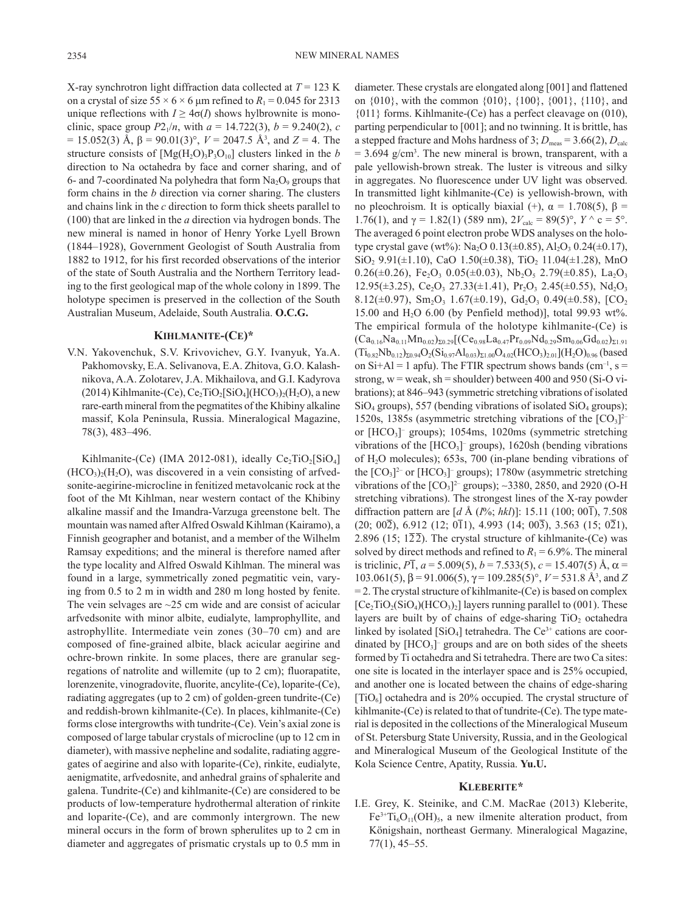X-ray synchrotron light diffraction data collected at  $T = 123$  K on a crystal of size  $55 \times 6 \times 6$  µm refined to  $R_1 = 0.045$  for 2313 unique reflections with  $I \geq 4\sigma(I)$  shows hylbrownite is monoclinic, space group  $P2_1/n$ , with  $a = 14.722(3)$ ,  $b = 9.240(2)$ , *c* = 15.052(3) Å, β = 90.01(3)°, *V* = 2047.5 Å3 , and *Z* = 4. The structure consists of  $[Mg(H_2O)_3P_3O_{10}]$  clusters linked in the *b* direction to Na octahedra by face and corner sharing, and of 6- and 7-coordinated Na polyhedra that form  $Na<sub>2</sub>O<sub>9</sub>$  groups that form chains in the *b* direction via corner sharing. The clusters and chains link in the *c* direction to form thick sheets parallel to (100) that are linked in the *a* direction via hydrogen bonds. The new mineral is named in honor of Henry Yorke Lyell Brown (1844–1928), Government Geologist of South Australia from 1882 to 1912, for his first recorded observations of the interior of the state of South Australia and the Northern Territory leading to the first geological map of the whole colony in 1899. The holotype specimen is preserved in the collection of the South Australian Museum, Adelaide, South Australia. **O.C.G.**

# **Kihlmanite-(Ce)\***

V.N. Yakovenchuk, S.V. Krivovichev, G.Y. Ivanyuk, Ya.A. Pakhomovsky, E.A. Selivanova, E.A. Zhitova, G.O. Kalashnikova, A.A. Zolotarev, J.A. Mikhailova, and G.I. Kadyrova (2014) Kihlmanite-(Ce), Ce<sub>2</sub>TiO<sub>2</sub>[SiO<sub>4</sub>](HCO<sub>3</sub>)<sub>2</sub>(H<sub>2</sub>O), a new rare-earth mineral from the pegmatites of the Khibiny alkaline massif, Kola Peninsula, Russia. Mineralogical Magazine, 78(3), 483–496.

Kihlmanite-(Ce) (IMA 2012-081), ideally  $Ce<sub>2</sub>TiO<sub>2</sub>[SiO<sub>4</sub>]$  $(HCO<sub>3</sub>)<sub>2</sub>(H<sub>2</sub>O)$ , was discovered in a vein consisting of arfvedsonite-aegirine-microcline in fenitized metavolcanic rock at the foot of the Mt Kihlman, near western contact of the Khibiny alkaline massif and the Imandra-Varzuga greenstone belt. The mountain was named after Alfred Oswald Kihlman (Kairamo), a Finnish geographer and botanist, and a member of the Wilhelm Ramsay expeditions; and the mineral is therefore named after the type locality and Alfred Oswald Kihlman. The mineral was found in a large, symmetrically zoned pegmatitic vein, varying from 0.5 to 2 m in width and 280 m long hosted by fenite. The vein selvages are  $\sim$ 25 cm wide and are consist of acicular arfvedsonite with minor albite, eudialyte, lamprophyllite, and astrophyllite. Intermediate vein zones (30–70 cm) and are composed of fine-grained albite, black acicular aegirine and ochre-brown rinkite. In some places, there are granular segregations of natrolite and willemite (up to 2 cm); fluorapatite, lorenzenite, vinogradovite, fluorite, ancylite-(Ce), loparite-(Ce), radiating aggregates (up to 2 cm) of golden-green tundrite-(Ce) and reddish-brown kihlmanite-(Ce). In places, kihlmanite-(Ce) forms close intergrowths with tundrite-(Ce). Vein's axial zone is composed of large tabular crystals of microcline (up to 12 cm in diameter), with massive nepheline and sodalite, radiating aggregates of aegirine and also with loparite-(Ce), rinkite, eudialyte, aenigmatite, arfvedosnite, and anhedral grains of sphalerite and galena. Tundrite-(Ce) and kihlmanite-(Ce) are considered to be products of low-temperature hydrothermal alteration of rinkite and loparite-(Ce), and are commonly intergrown. The new mineral occurs in the form of brown spherulites up to 2 cm in diameter and aggregates of prismatic crystals up to 0.5 mm in diameter. These crystals are elongated along [001] and flattened on {010}, with the common {010}, {100}, {001}, {110}, and {011} forms. Kihlmanite-(Ce) has a perfect cleavage on (010), parting perpendicular to [001]; and no twinning. It is brittle, has a stepped fracture and Mohs hardness of 3;  $D_{\text{meas}} = 3.66(2), D_{\text{calc}}$  $= 3.694$  g/cm<sup>3</sup>. The new mineral is brown, transparent, with a pale yellowish-brown streak. The luster is vitreous and silky in aggregates. No fluorescence under UV light was observed. In transmitted light kihlmanite-(Ce) is yellowish-brown, with no pleochroism. It is optically biaxial (+),  $\alpha = 1.708(5)$ , β = 1.76(1), and  $\gamma = 1.82(1)$  (589 nm),  $2V_{\text{calc}} = 89(5)$ °,  $Y \wedge c = 5$ °. The averaged 6 point electron probe WDS analyses on the holotype crystal gave (wt%): Na<sub>2</sub>O 0.13( $\pm$ 0.85), Al<sub>2</sub>O<sub>3</sub> 0.24( $\pm$ 0.17),  $SiO<sub>2</sub> 9.91(\pm 1.10)$ , CaO 1.50( $\pm$ 0.38), TiO<sub>2</sub> 11.04( $\pm$ 1.28), MnO 0.26( $\pm$ 0.26), Fe<sub>2</sub>O<sub>3</sub> 0.05( $\pm$ 0.03), Nb<sub>2</sub>O<sub>5</sub> 2.79( $\pm$ 0.85), La<sub>2</sub>O<sub>3</sub> 12.95( $\pm$ 3.25), Ce<sub>2</sub>O<sub>3</sub> 27.33( $\pm$ 1.41), Pr<sub>2</sub>O<sub>3</sub> 2.45( $\pm$ 0.55), Nd<sub>2</sub>O<sub>3</sub> 8.12( $\pm$ 0.97), Sm<sub>2</sub>O<sub>3</sub> 1.67( $\pm$ 0.19), Gd<sub>2</sub>O<sub>3</sub> 0.49( $\pm$ 0.58), [CO<sub>2</sub> 15.00 and  $H<sub>2</sub>O$  6.00 (by Penfield method)], total 99.93 wt%. The empirical formula of the holotype kihlmanite-(Ce) is  $(Ca_{0.16}Na_{0.11}Mn_{0.02})_{\Sigma0.29}[(Ce_{0.98}La_{0.47}Pr_{0.09}Nd_{0.29}Sm_{0.06}Gd_{0.02})_{\Sigma1.91}$  $(Ti_{0.82}Nb_{0.12})_{\Sigma 0.94}O_2(Si_{0.97}Al_{0.03})_{\Sigma 1.00}O_{4.02}(HCO_3)_{2.01}](H_2O)_{0.96}$  (based on  $Si+Al = 1$  apfu). The FTIR spectrum shows bands (cm<sup>-1</sup>, s = strong,  $w = weak$ ,  $sh = shoulder$ ) between 400 and 950 (Si-O vibrations); at 846–943 (symmetric stretching vibrations of isolated  $SiO<sub>4</sub>$  groups), 557 (bending vibrations of isolated  $SiO<sub>4</sub>$  groups); 1520s, 1385s (asymmetric stretching vibrations of the  $[CO_3]^{2-}$ or [HCO<sub>3</sub>]<sup>-</sup> groups); 1054ms, 1020ms (symmetric stretching vibrations of the  $[HCO<sub>3</sub>]$ <sup>-</sup> groups), 1620sh (bending vibrations of H2O molecules); 653s, 700 (in-plane bending vibrations of the  $[CO<sub>3</sub>]<sup>2-</sup>$  or  $[HCO<sub>3</sub>]<sup>-</sup>$  groups); 1780w (asymmetric stretching vibrations of the  $[CO<sub>3</sub>]^{2-}$  groups); ~3380, 2850, and 2920 (O-H stretching vibrations). The strongest lines of the X-ray powder diffraction pattern are [*d* Å (*I*%; *hkl*)]: 15.11 (100; 001), 7.508  $(20; 00\overline{2})$ , 6.912 (12;  $0\overline{1}1$ ), 4.993 (14;  $00\overline{3}$ ), 3.563 (15;  $0\overline{2}1$ ), 2.896 (15;  $1\overline{2}\overline{2}$ ). The crystal structure of kihlmanite-(Ce) was solved by direct methods and refined to  $R_1 = 6.9\%$ . The mineral is triclinic,  $P\overline{1}$ ,  $a = 5.009(5)$ ,  $b = 7.533(5)$ ,  $c = 15.407(5)$  Å,  $\alpha =$ 103.061(5),  $\beta$  = 91.006(5),  $\gamma$  = 109.285(5)°,  $V$  = 531.8 Å<sup>3</sup>, and *Z* = 2. The crystal structure of kihlmanite-(Ce) is based on complex  $[Ce_2TiO_2(SiO_4)(HCO_3)_2]$  layers running parallel to (001). These layers are built by of chains of edge-sharing  $TiO<sub>2</sub>$  octahedra linked by isolated  $[SiO_4]$  tetrahedra. The Ce<sup>3+</sup> cations are coordinated by  $[HCO<sub>3</sub>]$ <sup>-</sup> groups and are on both sides of the sheets formed by Ti octahedra and Si tetrahedra. There are two Ca sites: one site is located in the interlayer space and is 25% occupied, and another one is located between the chains of edge-sharing  $[TiO<sub>6</sub>]$  octahedra and is 20% occupied. The crystal structure of kihlmanite-(Ce) is related to that of tundrite-(Ce). The type material is deposited in the collections of the Mineralogical Museum of St. Petersburg State University, Russia, and in the Geological and Mineralogical Museum of the Geological Institute of the Kola Science Centre, Apatity, Russia. **Yu.U.**

## **Kleberite\***

I.E. Grey, K. Steinike, and C.M. MacRae (2013) Kleberite,  $Fe^{3+}Ti_6O_{11}(OH)$ <sub>5</sub>, a new ilmenite alteration product, from Königshain, northeast Germany. Mineralogical Magazine, 77(1), 45–55.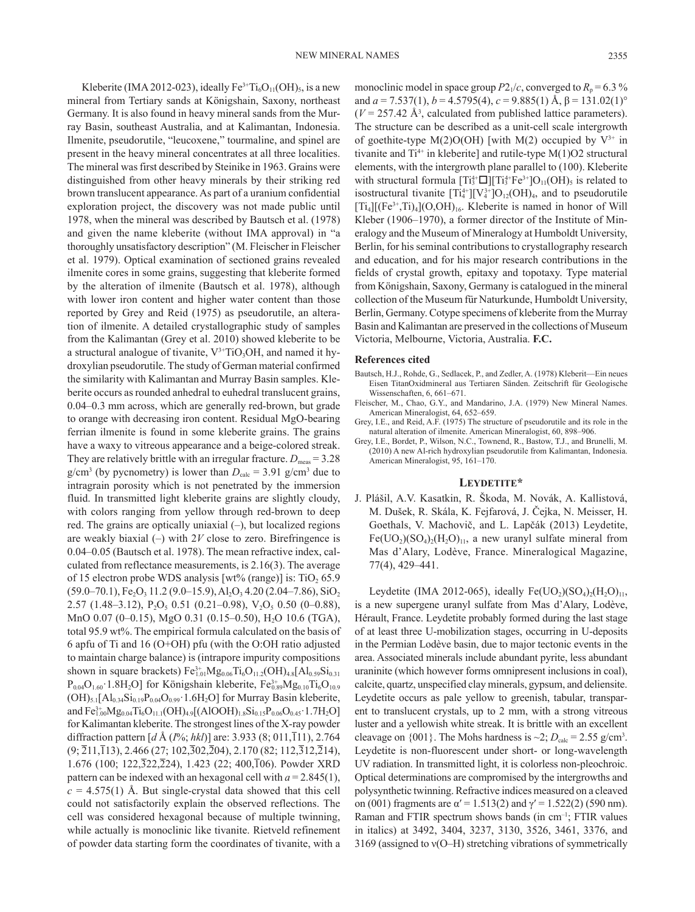Kleberite (IMA 2012-023), ideally  $Fe^{3+}Ti_6O_{11}(OH)_{5}$ , is a new mineral from Tertiary sands at Königshain, Saxony, northeast Germany. It is also found in heavy mineral sands from the Murray Basin, southeast Australia, and at Kalimantan, Indonesia. Ilmenite, pseudorutile, "leucoxene," tourmaline, and spinel are present in the heavy mineral concentrates at all three localities. The mineral was first described by Steinike in 1963. Grains were distinguished from other heavy minerals by their striking red brown translucent appearance. As part of a uranium confidential exploration project, the discovery was not made public until 1978, when the mineral was described by Bautsch et al. (1978) and given the name kleberite (without IMA approval) in "a thoroughly unsatisfactory description" (M. Fleischer in Fleischer et al. 1979). Optical examination of sectioned grains revealed ilmenite cores in some grains, suggesting that kleberite formed by the alteration of ilmenite (Bautsch et al. 1978), although with lower iron content and higher water content than those reported by Grey and Reid (1975) as pseudorutile, an alteration of ilmenite. A detailed crystallographic study of samples from the Kalimantan (Grey et al. 2010) showed kleberite to be a structural analogue of tivanite,  $V^{3+}TiO_3OH$ , and named it hydroxylian pseudorutile. The study of German material confirmed the similarity with Kalimantan and Murray Basin samples. Kleberite occurs as rounded anhedral to euhedral translucent grains, 0.04–0.3 mm across, which are generally red-brown, but grade to orange with decreasing iron content. Residual MgO-bearing ferrian ilmenite is found in some kleberite grains. The grains have a waxy to vitreous appearance and a beige-colored streak. They are relatively brittle with an irregular fracture.  $D_{\text{meas}} = 3.28$  $g/cm<sup>3</sup>$  (by pycnometry) is lower than  $D<sub>calc</sub> = 3.91$  g/cm<sup>3</sup> due to intragrain porosity which is not penetrated by the immersion fluid. In transmitted light kleberite grains are slightly cloudy, with colors ranging from yellow through red-brown to deep red. The grains are optically uniaxial (–), but localized regions are weakly biaxial  $(-)$  with 2*V* close to zero. Birefringence is 0.04–0.05 (Bautsch et al. 1978). The mean refractive index, calculated from reflectance measurements, is 2.16(3). The average of 15 electron probe WDS analysis  $[wt\%$  (range)] is: TiO<sub>2</sub> 65.9  $(59.0–70.1)$ , Fe<sub>2</sub>O<sub>3</sub> 11.2 (9.0–15.9), Al<sub>2</sub>O<sub>3</sub> 4.20 (2.04–7.86), SiO<sub>2</sub>  $2.57$  (1.48–3.12), P<sub>2</sub>O<sub>5</sub> 0.51 (0.21–0.98), V<sub>2</sub>O<sub>5</sub> 0.50 (0–0.88), MnO 0.07 (0-0.15), MgO 0.31 (0.15-0.50), H<sub>2</sub>O 10.6 (TGA), total 95.9 wt%. The empirical formula calculated on the basis of 6 apfu of Ti and 16 (O+OH) pfu (with the O:OH ratio adjusted to maintain charge balance) is (intrapore impurity compositions shown in square brackets)  $Fe_{1.01}^{3+}Mg_{0.06}Ti_6O_{11.2}(OH)_{4.8}[Al_{0.59}Si_{0.31}]$  $P_{0.04}O_{1.60}$  1.8H<sub>2</sub>O] for Königshain kleberite,  $Fe_{0.89}^{3+}Mg_{0.10}Ti_{6}O_{10.9}$  $(OH)_{5.1}[Al_{0.34}Si_{0.19}P_{0.04}O_{0.99}$  1.6H<sub>2</sub>O] for Murray Basin kleberite, and  $\rm Fe^{3+}_{1.00}Mg_{0.04}Ti_6O_{11.1}(OH)_{4.9}[(AlOOH)_{1.8}Si_{0.15}P_{0.06}O_{0.45}\cdot1.7H_2O]$ for Kalimantan kleberite. The strongest lines of the X-ray powder diffraction pattern [*d* Å (*I*%; *hkl*)] are: 3.933 (8; 011,111), 2.764  $(9;\overline{2}11,\overline{1}13), 2.466(27; 102,\overline{3}02,\overline{2}04), 2.170(82; 112,\overline{3}12,\overline{2}14),$ 1.676 (100; 122, $\overline{3}22, \overline{2}24$ ), 1.423 (22; 400, $\overline{1}06$ ). Powder XRD pattern can be indexed with an hexagonal cell with  $a = 2.845(1)$ ,  $c = 4.575(1)$  Å. But single-crystal data showed that this cell could not satisfactorily explain the observed reflections. The cell was considered hexagonal because of multiple twinning, while actually is monoclinic like tivanite. Rietveld refinement of powder data starting form the coordinates of tivanite, with a

monoclinic model in space group  $P2_1/c$ , converged to  $R_p = 6.3 \%$ and  $a = 7.537(1)$ ,  $b = 4.5795(4)$ ,  $c = 9.885(1)$  Å,  $\beta = 131.02(1)$ °  $(V = 257.42 \text{ Å}^3$ , calculated from published lattice parameters). The structure can be described as a unit-cell scale intergrowth of goethite-type M(2)O(OH) [with M(2) occupied by  $V^{3+}$  in tivanite and  $Ti^{4+}$  in kleberite] and rutile-type  $M(1)O2$  structural elements, with the intergrowth plane parallel to (100). Kleberite with structural formula  $[Ti_3^{4+} \Box][Ti_3^{4+}Fe^{3+}]O_{11}(OH)$ <sub>5</sub> is related to isostructural tivanite  $[Ti_4^{4+}][V_4^{3+}]O_{12}(OH)_4$ , and to pseudorutile  $[Ti<sub>4</sub>][(Fe<sup>3+</sup>,Ti)<sub>4</sub>](O,OH)<sub>16</sub>$ . Kleberite is named in honor of Will Kleber (1906–1970), a former director of the Institute of Mineralogy and the Museum of Mineralogy at Humboldt University, Berlin, for his seminal contributions to crystallography research and education, and for his major research contributions in the fields of crystal growth, epitaxy and topotaxy. Type material from Königshain, Saxony, Germany is catalogued in the mineral collection of the Museum für Naturkunde, Humboldt University, Berlin, Germany. Cotype specimens of kleberite from the Murray Basin and Kalimantan are preserved in the collections of Museum Victoria, Melbourne, Victoria, Australia. **F.C.**

#### **References cited**

- Bautsch, H.J., Rohde, G., Sedlacek, P., and Zedler, A. (1978) Kleberit—Ein neues Eisen TitanOxidmineral aus Tertiaren Sänden. Zeitschrift für Geologische Wissenschaften, 6, 661–671.
- Fleischer, M., Chao, G.Y., and Mandarino, J.A. (1979) New Mineral Names. American Mineralogist, 64, 652–659.
- Grey, I.E., and Reid, A.F. (1975) The structure of pseudorutile and its role in the natural alteration of ilmenite. American Mineralogist, 60, 898–906.
- Grey, I.E., Bordet, P., Wilson, N.C., Townend, R., Bastow, T.J., and Brunelli, M. (2010) A new Al-rich hydroxylian pseudorutile from Kalimantan, Indonesia. American Mineralogist, 95, 161–170.

#### **Leydetite\***

J. Plášil, A.V. Kasatkin, R. Škoda, M. Novák, A. Kallistová, M. Dušek, R. Skála, K. Fejfarová, J. Čejka, N. Meisser, H. Goethals, V. Machovič, and L. Lapčák (2013) Leydetite,  $Fe( UO<sub>2</sub>)(SO<sub>4</sub>)<sub>2</sub>(H<sub>2</sub>O)<sub>11</sub>$ , a new uranyl sulfate mineral from Mas d'Alary, Lodève, France. Mineralogical Magazine, 77(4), 429–441.

Leydetite (IMA 2012-065), ideally  $Fe(UO<sub>2</sub>)(SO<sub>4</sub>)<sub>2</sub>(H<sub>2</sub>O)<sub>11</sub>$ , is a new supergene uranyl sulfate from Mas d'Alary, Lodève, Hérault, France. Leydetite probably formed during the last stage of at least three U-mobilization stages, occurring in U-deposits in the Permian Lodève basin, due to major tectonic events in the area. Associated minerals include abundant pyrite, less abundant uraninite (which however forms omnipresent inclusions in coal), calcite, quartz, unspecified clay minerals, gypsum, and deliensite. Leydetite occurs as pale yellow to greenish, tabular, transparent to translucent crystals, up to 2 mm, with a strong vitreous luster and a yellowish white streak. It is brittle with an excellent cleavage on  $\{001\}$ . The Mohs hardness is  $\sim$ 2;  $D_{\text{calc}} = 2.55$  g/cm<sup>3</sup>. Leydetite is non-fluorescent under short- or long-wavelength UV radiation. In transmitted light, it is colorless non-pleochroic. Optical determinations are compromised by the intergrowths and polysynthetic twinning. Refractive indices measured on a cleaved on (001) fragments are  $\alpha' = 1.513(2)$  and  $\gamma' = 1.522(2)$  (590 nm). Raman and FTIR spectrum shows bands (in cm–1; FTIR values in italics) at 3492, 3404, 3237, 3130, 3526, 3461, 3376, and 3169 (assigned to ν(O–H) stretching vibrations of symmetrically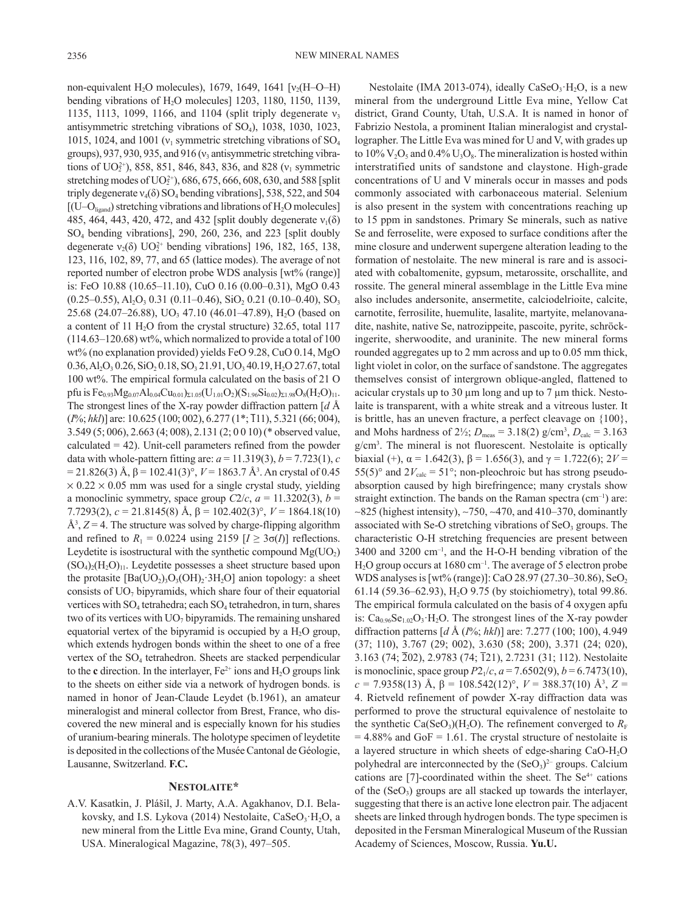non-equivalent H<sub>2</sub>O molecules), 1679, 1649, 1641  $[v<sub>2</sub>(H-O-H)]$ bending vibrations of H<sub>2</sub>O molecules] 1203, 1180, 1150, 1139, 1135, 1113, 1099, 1166, and 1104 (split triply degenerate  $v_3$ antisymmetric stretching vibrations of SO4), 1038, 1030, 1023, 1015, 1024, and 1001 ( $v_1$  symmetric stretching vibrations of SO<sub>4</sub> groups), 937, 930, 935, and 916 ( $v_3$  antisymmetric stretching vibrations of  $UO_2^{2+}$ ), 858, 851, 846, 843, 836, and 828 ( $v_1$  symmetric stretching modes of  $UO_2^{2+}$ , 686, 675, 666, 608, 630, and 588 [split triply degenerate  $v_4(\delta)$  SO<sub>4</sub> bending vibrations], 538, 522, and 504  $[(U–O<sub>linear</sub>]$  stretching vibrations and librations of  $H<sub>2</sub>O$  molecules] 485, 464, 443, 420, 472, and 432 [split doubly degenerate  $v_1(\delta)$ SO4 bending vibrations], 290, 260, 236, and 223 [split doubly degenerate  $v_2(\delta)$  UO<sup>2+</sup> bending vibrations] 196, 182, 165, 138, 123, 116, 102, 89, 77, and 65 (lattice modes). The average of not reported number of electron probe WDS analysis [wt% (range)] is: FeO 10.88 (10.65–11.10), CuO 0.16 (0.00–0.31), MgO 0.43  $(0.25-0.55)$ , Al<sub>2</sub>O<sub>3</sub> 0.31 (0.11–0.46), SiO<sub>2</sub> 0.21 (0.10–0.40), SO<sub>3</sub> 25.68 (24.07–26.88), UO<sub>3</sub> 47.10 (46.01–47.89), H<sub>2</sub>O (based on a content of  $11 H<sub>2</sub>O$  from the crystal structure) 32.65, total 117  $(114.63-120.68)$  wt%, which normalized to provide a total of 100 wt% (no explanation provided) yields FeO 9.28, CuO 0.14, MgO  $0.36, Al_2O_3 0.26, SiO_2 0.18, SO_3 21.91, UO_3 40.19, H_2O 27.67, total$ 100 wt%. The empirical formula calculated on the basis of 21 O pfu is  $Fe_{0.93}Mg_{0.07}Al_{0.04}Cu_{0.01})_{\Sigma1.05}(U_{1.01}O_2)(S_{1.96}Si_{0.02})_{\Sigma1.98}O_8(H_2O)_{11}.$ The strongest lines of the X-ray powder diffraction pattern [*d* Å (*I*%; *hkl*)] are: 10.625 (100; 002), 6.277 (1<sup>\*</sup>; 111), 5.321 (66; 004), 3.549 (5; 006), 2.663 (4; 008), 2.131 (2; 0 0 10) (\* observed value, calculated  $= 42$ ). Unit-cell parameters refined from the powder data with whole-pattern fitting are:  $a = 11.319(3)$ ,  $b = 7.723(1)$ ,  $c$  $= 21.826(3)$  Å,  $β = 102.41(3)°$ ,  $V = 1863.7$  Å<sup>3</sup>. An crystal of 0.45  $\times$  0.22  $\times$  0.05 mm was used for a single crystal study, yielding a monoclinic symmetry, space group  $C2/c$ ,  $a = 11.3202(3)$ ,  $b =$ 7.7293(2), *c* = 21.8145(8) Å, β = 102.402(3)°, *V* = 1864.18(10)  $\AA^3$ ,  $Z = 4$ . The structure was solved by charge-flipping algorithm and refined to  $R_1 = 0.0224$  using 2159  $[I \geq 3\sigma(I)]$  reflections. Leydetite is isostructural with the synthetic compound  $Mg(UO<sub>2</sub>)$  $(SO<sub>4</sub>)<sub>2</sub>(H<sub>2</sub>O)<sub>11</sub>$ . Leydetite possesses a sheet structure based upon the protasite  $[Ba( UO<sub>2</sub>)<sub>3</sub>O<sub>3</sub>(OH)<sub>2</sub> 3H<sub>2</sub>O]$  anion topology: a sheet consists of  $UO<sub>7</sub>$  bipyramids, which share four of their equatorial vertices with  $SO_4$  tetrahedra; each  $SO_4$  tetrahedron, in turn, shares two of its vertices with  $UO<sub>7</sub>$  bipyramids. The remaining unshared equatorial vertex of the bipyramid is occupied by a  $H_2O$  group, which extends hydrogen bonds within the sheet to one of a free vertex of the SO<sub>4</sub> tetrahedron. Sheets are stacked perpendicular to the **c** direction. In the interlayer,  $Fe^{2+}$  ions and  $H_2O$  groups link to the sheets on either side via a network of hydrogen bonds. is named in honor of Jean-Claude Leydet (b.1961), an amateur mineralogist and mineral collector from Brest, France, who discovered the new mineral and is especially known for his studies of uranium-bearing minerals. The holotype specimen of leydetite is deposited in the collections of the Musée Cantonal de Géologie, Lausanne, Switzerland. **F.C.**

# **Nestolaite\***

A.V. Kasatkin, J. Plášil, J. Marty, A.A. Agakhanov, D.I. Belakovsky, and I.S. Lykova (2014) Nestolaite,  $CaSeO<sub>3</sub>$  H<sub>2</sub>O, a new mineral from the Little Eva mine, Grand County, Utah, USA. Mineralogical Magazine, 78(3), 497–505.

Nestolaite (IMA 2013-074), ideally  $CaSeO<sub>3</sub>·H<sub>2</sub>O$ , is a new mineral from the underground Little Eva mine, Yellow Cat district, Grand County, Utah, U.S.A. It is named in honor of Fabrizio Nestola, a prominent Italian mineralogist and crystallographer. The Little Eva was mined for U and V, with grades up to 10%  $V_2O_5$  and 0.4%  $U_3O_8$ . The mineralization is hosted within interstratified units of sandstone and claystone. High-grade concentrations of U and V minerals occur in masses and pods commonly associated with carbonaceous material. Selenium is also present in the system with concentrations reaching up to 15 ppm in sandstones. Primary Se minerals, such as native Se and ferroselite, were exposed to surface conditions after the mine closure and underwent supergene alteration leading to the formation of nestolaite. The new mineral is rare and is associated with cobaltomenite, gypsum, metarossite, orschallite, and rossite. The general mineral assemblage in the Little Eva mine also includes andersonite, ansermetite, calciodelrioite, calcite, carnotite, ferrosilite, huemulite, lasalite, martyite, melanovanadite, nashite, native Se, natrozippeite, pascoite, pyrite, schröckingerite, sherwoodite, and uraninite. The new mineral forms rounded aggregates up to 2 mm across and up to 0.05 mm thick, light violet in color, on the surface of sandstone. The aggregates themselves consist of intergrown oblique-angled, flattened to acicular crystals up to 30  $\mu$ m long and up to 7  $\mu$ m thick. Nestolaite is transparent, with a white streak and a vitreous luster. It is brittle, has an uneven fracture, a perfect cleavage on {100}, and Mohs hardness of  $2\frac{1}{2}$ ;  $D_{\text{meas}} = 3.18(2)$  g/cm<sup>3</sup>,  $D_{\text{calc}} = 3.163$ g/cm3 . The mineral is not fluorescent. Nestolaite is optically biaxial (+),  $\alpha$  = 1.642(3),  $\beta$  = 1.656(3), and  $\gamma$  = 1.722(6); 2*V* = 55(5)° and  $2V_{\text{calc}} = 51$ °; non-pleochroic but has strong pseudoabsorption caused by high birefringence; many crystals show straight extinction. The bands on the Raman spectra  $(cm<sup>-1</sup>)$  are:  $\sim$ 825 (highest intensity),  $\sim$ 750,  $\sim$ 470, and 410–370, dominantly associated with Se-O stretching vibrations of  $SeO<sub>3</sub>$  groups. The characteristic O-H stretching frequencies are present between 3400 and 3200 cm–1, and the H-O-H bending vibration of the H<sub>2</sub>O group occurs at 1680 cm<sup>-1</sup>. The average of 5 electron probe WDS analyses is [wt% (range)]: CaO 28.97 (27.30–30.86), SeO<sub>2</sub> 61.14 (59.36–62.93),  $H_2O$  9.75 (by stoichiometry), total 99.86. The empirical formula calculated on the basis of 4 oxygen apfu is:  $Ca<sub>0.96</sub>Se<sub>1.02</sub>O<sub>3</sub>·H<sub>2</sub>O$ . The strongest lines of the X-ray powder diffraction patterns [*d* Å (*I*%; *hkl*)] are: 7.277 (100; 100), 4.949 (37; 110), 3.767 (29; 002), 3.630 (58; 200), 3.371 (24; 020), 3.163 (74; 202), 2.9783 (74; 121), 2.7231 (31; 112). Nestolaite is monoclinic, space group  $P2_1/c$ ,  $a = 7.6502(9)$ ,  $b = 6.7473(10)$ , *c* = 7.9358(13) Å, β = 108.542(12)°, *V* = 388.37(10) Å3 , *Z* = 4. Rietveld refinement of powder X-ray diffraction data was performed to prove the structural equivalence of nestolaite to the synthetic  $Ca(SeO<sub>3</sub>)(H<sub>2</sub>O)$ . The refinement converged to  $R<sub>F</sub>$  $= 4.88\%$  and GoF  $= 1.61$ . The crystal structure of nestolaite is a layered structure in which sheets of edge-sharing CaO-H<sub>2</sub>O polyhedral are interconnected by the  $(SeO<sub>3</sub>)<sup>2-</sup>$  groups. Calcium cations are  $[7]$ -coordinated within the sheet. The Se<sup>4+</sup> cations of the  $(SeO<sub>3</sub>)$  groups are all stacked up towards the interlayer, suggesting that there is an active lone electron pair. The adjacent sheets are linked through hydrogen bonds. The type specimen is deposited in the Fersman Mineralogical Museum of the Russian Academy of Sciences, Moscow, Russia. **Yu.U.**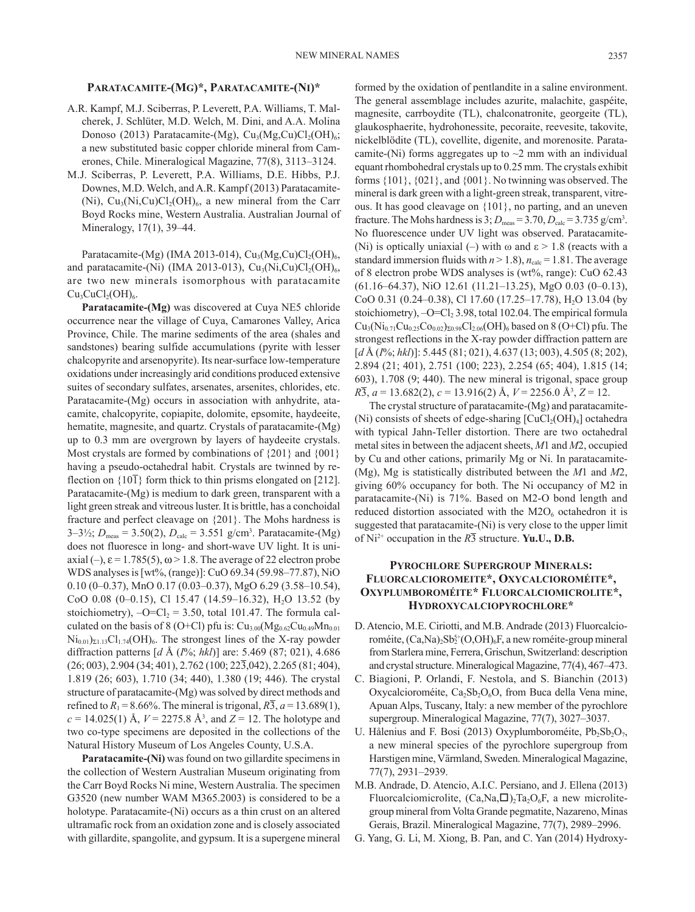### **Paratacamite-(Mg)\*, Paratacamite-(Ni)\***

- A.R. Kampf, M.J. Sciberras, P. Leverett, P.A. Williams, T. Malcherek, J. Schlüter, M.D. Welch, M. Dini, and A.A. Molina Donoso (2013) Paratacamite-(Mg),  $Cu<sub>3</sub>(Mg,Cu)Cl<sub>2</sub>(OH)<sub>6</sub>;$ a new substituted basic copper chloride mineral from Camerones, Chile. Mineralogical Magazine, 77(8), 3113–3124.
- M.J. Sciberras, P. Leverett, P.A. Williams, D.E. Hibbs, P.J. Downes, M.D. Welch, and A.R. Kampf (2013) Paratacamite- (Ni),  $Cu_3(Ni, Cu)Cl_2(OH)_6$ , a new mineral from the Carr Boyd Rocks mine, Western Australia. Australian Journal of Mineralogy, 17(1), 39–44.

Paratacamite-(Mg) (IMA 2013-014),  $Cu<sub>3</sub>(Mg,Cu)Cl<sub>2</sub>(OH)<sub>6</sub>$ , and paratacamite-(Ni) (IMA 2013-013),  $Cu<sub>3</sub>(Ni, Cu)Cl<sub>2</sub>(OH)<sub>6</sub>$ , are two new minerals isomorphous with paratacamite  $Cu<sub>3</sub>CuCl<sub>2</sub>(OH)<sub>6</sub>.$ 

**Paratacamite-(Mg)** was discovered at Cuya NE5 chloride occurrence near the village of Cuya, Camarones Valley, Arica Province, Chile. The marine sediments of the area (shales and sandstones) bearing sulfide accumulations (pyrite with lesser chalcopyrite and arsenopyrite). Its near-surface low-temperature oxidations under increasingly arid conditions produced extensive suites of secondary sulfates, arsenates, arsenites, chlorides, etc. Paratacamite-(Mg) occurs in association with anhydrite, atacamite, chalcopyrite, copiapite, dolomite, epsomite, haydeeite, hematite, magnesite, and quartz. Crystals of paratacamite-(Mg) up to 0.3 mm are overgrown by layers of haydeeite crystals. Most crystals are formed by combinations of {201} and {001} having a pseudo-octahedral habit. Crystals are twinned by reflection on  $\{10\overline{1}\}$  form thick to thin prisms elongated on [212]. Paratacamite-(Mg) is medium to dark green, transparent with a light green streak and vitreous luster. It is brittle, has a conchoidal fracture and perfect cleavage on {201}. The Mohs hardness is  $3-3\frac{1}{2}$ ;  $D_{\text{meas}} = 3.50(2)$ ,  $D_{\text{calc}} = 3.551$  g/cm<sup>3</sup>. Paratacamite-(Mg) does not fluoresce in long- and short-wave UV light. It is uniaxial (–),  $\varepsilon$  = 1.785(5),  $\omega$  > 1.8. The average of 22 electron probe WDS analyses is [wt%, (range)]: CuO 69.34 (59.98–77.87), NiO 0.10 (0–0.37), MnO 0.17 (0.03–0.37), MgO 6.29 (3.58–10.54), CoO 0.08 (0-0.15), Cl 15.47 (14.59-16.32), H<sub>2</sub>O 13.52 (by stoichiometry),  $-O=Cl_2 = 3.50$ , total 101.47. The formula calculated on the basis of 8 (O+Cl) pfu is:  $Cu<sub>3.00</sub>(Mg<sub>0.62</sub>Cu<sub>0.49</sub>Mn<sub>0.01</sub>$  $Ni_{0.01}$ <sub> $\Sigma1.13$ </sub> $Cl_{1.74}$ ( $OH$ )<sub>6</sub>. The strongest lines of the X-ray powder diffraction patterns [*d* Å (*I*%; *hkl*)] are: 5.469 (87; 021), 4.686 (26; 003), 2.904 (34; 401), 2.762 (100; 223,042), 2.265 (81; 404), 1.819 (26; 603), 1.710 (34; 440), 1.380 (19; 446). The crystal structure of paratacamite-(Mg) was solved by direct methods and refined to  $R_1 = 8.66\%$ . The mineral is trigonal,  $R_2 = 13.689(1)$ , *c* = 14.025(1) Å, *V* = 2275.8 Å3 , and *Z* = 12. The holotype and two co-type specimens are deposited in the collections of the Natural History Museum of Los Angeles County, U.S.A.

**Paratacamite-(Ni)** was found on two gillardite specimens in the collection of Western Australian Museum originating from the Carr Boyd Rocks Ni mine, Western Australia. The specimen G3520 (new number WAM M365.2003) is considered to be a holotype. Paratacamite-(Ni) occurs as a thin crust on an altered ultramafic rock from an oxidation zone and is closely associated with gillardite, spangolite, and gypsum. It is a supergene mineral formed by the oxidation of pentlandite in a saline environment. The general assemblage includes azurite, malachite, gaspéite, magnesite, carrboydite (TL), chalconatronite, georgeite (TL), glaukosphaerite, hydrohonessite, pecoraite, reevesite, takovite, nickelblödite (TL), covellite, digenite, and morenosite. Paratacamite-(Ni) forms aggregates up to  $\sim$ 2 mm with an individual equant rhombohedral crystals up to 0.25 mm. The crystals exhibit forms {101}, {021}, and {001}. No twinning was observed. The mineral is dark green with a light-green streak, transparent, vitreous. It has good cleavage on {101}, no parting, and an uneven fracture. The Mohs hardness is  $3$ ;  $D_{\text{meas}} = 3.70$ ,  $D_{\text{calc}} = 3.735$  g/cm<sup>3</sup>. No fluorescence under UV light was observed. Paratacamite- (Ni) is optically uniaxial (–) with  $\omega$  and  $\varepsilon > 1.8$  (reacts with a standard immersion fluids with  $n > 1.8$ ),  $n_{\text{calc}} = 1.81$ . The average of 8 electron probe WDS analyses is (wt%, range): CuO 62.43 (61.16–64.37), NiO 12.61 (11.21–13.25), MgO 0.03 (0–0.13), CoO 0.31 (0.24–0.38), Cl 17.60 (17.25–17.78), H<sub>2</sub>O 13.04 (by stoichiometry),  $-O=Cl<sub>2</sub> 3.98$ , total 102.04. The empirical formula  $Cu<sub>3</sub>(Ni<sub>0.71</sub>Cu<sub>0.25</sub>Co<sub>0.02</sub>)<sub>20.98</sub>Cl<sub>2.06</sub>(OH)<sub>6</sub> based on 8 (O+Cl) pfu. The$ strongest reflections in the X-ray powder diffraction pattern are [*d* Å (*I*%; *hkl*)]: 5.445 (81; 021), 4.637 (13; 003), 4.505 (8; 202), 2.894 (21; 401), 2.751 (100; 223), 2.254 (65; 404), 1.815 (14; 603), 1.708 (9; 440). The new mineral is trigonal, space group *R*3, *a* = 13.682(2), *c* = 13.916(2) Å, *V* = 2256.0 Å3 , *Z* = 12.

The crystal structure of paratacamite-(Mg) and paratacamite- (Ni) consists of sheets of edge-sharing  $[CuCl<sub>2</sub>(OH)<sub>4</sub>]$  octahedra with typical Jahn-Teller distortion. There are two octahedral metal sites in between the adjacent sheets, *M*1 and *M*2, occupied by Cu and other cations, primarily Mg or Ni. In paratacamite- (Mg), Mg is statistically distributed between the *M*1 and *M*2, giving 60% occupancy for both. The Ni occupancy of M2 in paratacamite-(Ni) is 71%. Based on M2-O bond length and reduced distortion associated with the  $M2O<sub>6</sub>$  octahedron it is suggested that paratacamite-(Ni) is very close to the upper limit of  $Ni^{2+}$  occupation in the  $R\overline{3}$  structure. **Yu.U., D.B.** 

# **Pyrochlore Supergroup Minerals: Fluorcalcioromeite\*, Oxycalcioroméite\*, Oxyplumboroméite\* Fluorcalciomicrolite\*, Hydroxycalciopyrochlore\***

- D. Atencio, M.E. Ciriotti, and M.B. Andrade (2013) Fluorcalcioroméite, (Ca,Na)<sub>2</sub>Sb<sup>5+</sup>(O,OH)<sub>6</sub>F, a new roméite-group mineral from Starlera mine, Ferrera, Grischun, Switzerland: description and crystal structure. Mineralogical Magazine, 77(4), 467–473.
- C. Biagioni, P. Orlandi, F. Nestola, and S. Bianchin (2013) Oxycalcioroméite,  $Ca_2Sb_2O_6O$ , from Buca della Vena mine, Apuan Alps, Tuscany, Italy: a new member of the pyrochlore supergroup. Mineralogical Magazine, 77(7), 3027–3037.
- U. Hålenius and F. Bosi (2013) Oxyplumboroméite,  $Pb_2Sb_2O_7$ , a new mineral species of the pyrochlore supergroup from Harstigen mine, Värmland, Sweden. Mineralogical Magazine, 77(7), 2931–2939.
- M.B. Andrade, D. Atencio, A.I.C. Persiano, and J. Ellena (2013) Fluorcalciomicrolite,  $(Ca, Na, \Box)$ <sub>2</sub>Ta<sub>2</sub>O<sub>6</sub>F, a new microlitegroup mineral from Volta Grande pegmatite, Nazareno, Minas Gerais, Brazil. Mineralogical Magazine, 77(7), 2989–2996.
- G. Yang, G. Li, M. Xiong, B. Pan, and C. Yan (2014) Hydroxy-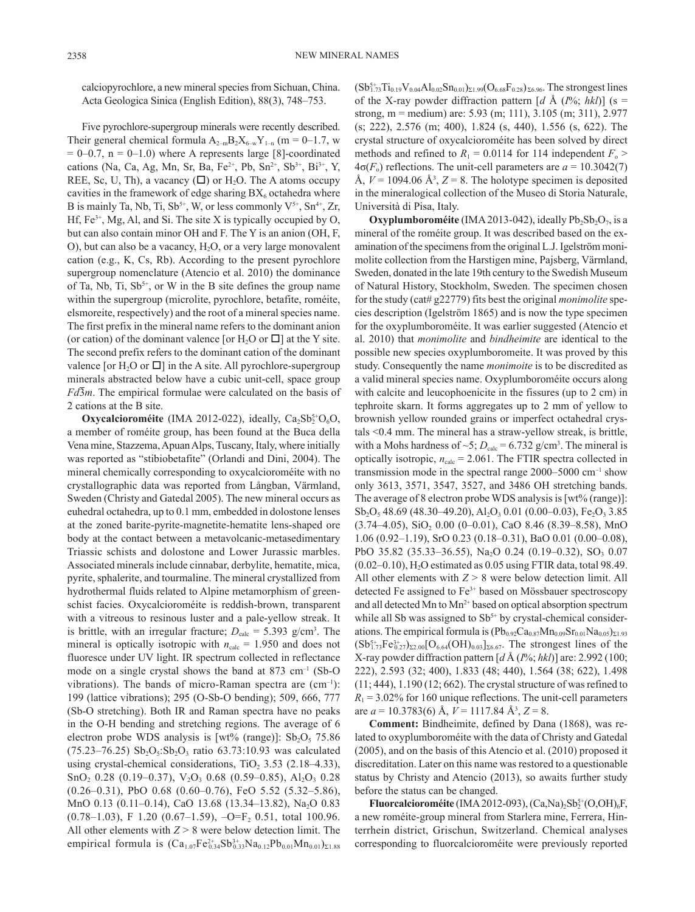calciopyrochlore, a new mineral species from Sichuan, China. Acta Geologica Sinica (English Edition), [88\(3\),](http://onlinelibrary.wiley.com/doi/10.1111/acgs.2014.88.issue-3/issuetoc) 748–753.

Five pyrochlore-supergroup minerals were recently described. Their general chemical formula  $A_{2-m}B_2X_{6-w}Y_{1-n}$  (m = 0–1.7, w  $= 0-0.7$ ,  $n = 0-1.0$ ) where A represents large [8]-coordinated cations (Na, Ca, Ag, Mn, Sr, Ba, Fe<sup>2+</sup>, Pb, Sn<sup>2+</sup>, Sb<sup>3+</sup>, Bi<sup>3+</sup>, Y, REE, Sc, U, Th), a vacancy ( $\square$ ) or H<sub>2</sub>O. The A atoms occupy cavities in the framework of edge sharing  $BX_6$  octahedra where B is mainly Ta, Nb, Ti,  $Sb^{5+}$ , W, or less commonly  $V^{5+}$ ,  $Sn^{4+}$ , Zr, Hf,  $Fe<sup>3+</sup>$ , Mg, Al, and Si. The site X is typically occupied by O, but can also contain minor OH and F. The Y is an anion (OH, F, O), but can also be a vacancy,  $H_2O$ , or a very large monovalent cation (e.g., K, Cs, Rb). According to the present pyrochlore supergroup nomenclature (Atencio et al. 2010) the dominance of Ta, Nb, Ti,  $Sb^{5+}$ , or W in the B site defines the group name within the supergroup (microlite, pyrochlore, betafite, roméite, elsmoreite, respectively) and the root of a mineral species name. The first prefix in the mineral name refers to the dominant anion (or cation) of the dominant valence [or H<sub>2</sub>O or  $\Box$ ] at the Y site. The second prefix refers to the dominant cation of the dominant valence [or H<sub>2</sub>O or  $\Box$ ] in the A site. All pyrochlore-supergroup minerals abstracted below have a cubic unit-cell, space group *Fd*3*m*. The empirical formulae were calculated on the basis of 2 cations at the B site.

**Oxycalcioroméite** (IMA 2012-022), ideally,  $Ca_2Sb_2^{5+}O_6O$ , a member of roméite group, has been found at the Buca della Vena mine, Stazzema, Apuan Alps, Tuscany, Italy, where initially was reported as "stibiobetafite" (Orlandi and Dini, 2004). The mineral chemically corresponding to oxycalcioroméite with no crystallographic data was reported from Långban, Värmland, Sweden (Christy and Gatedal 2005). The new mineral occurs as euhedral octahedra, up to 0.1 mm, embedded in dolostone lenses at the zoned barite-pyrite-magnetite-hematite lens-shaped ore body at the contact between a metavolcanic-metasedimentary Triassic schists and dolostone and Lower Jurassic marbles. Associated minerals include cinnabar, derbylite, hematite, mica, pyrite, sphalerite, and tourmaline. The mineral crystallized from hydrothermal fluids related to Alpine metamorphism of greenschist facies. Oxycalcioroméite is reddish-brown, transparent with a vitreous to resinous luster and a pale-yellow streak. It is brittle, with an irregular fracture;  $D_{\text{calc}} = 5.393$  g/cm<sup>3</sup>. The mineral is optically isotropic with  $n_{\text{calc}} = 1.950$  and does not fluoresce under UV light. IR spectrum collected in reflectance mode on a single crystal shows the band at  $873 \text{ cm}^{-1}$  (Sb-O vibrations). The bands of micro-Raman spectra are  $(cm^{-1})$ : 199 (lattice vibrations); 295 (O-Sb-O bending); 509, 666, 777 (Sb-O stretching). Both IR and Raman spectra have no peaks in the O-H bending and stretching regions. The average of 6 electron probe WDS analysis is [wt% (range)]:  $Sb<sub>2</sub>O<sub>5</sub>$  75.86  $(75.23 - 76.25)$  Sb<sub>2</sub>O<sub>5</sub>:Sb<sub>2</sub>O<sub>3</sub> ratio 63.73:10.93 was calculated using crystal-chemical considerations,  $TiO<sub>2</sub> 3.53 (2.18–4.33)$ ,  $SnO<sub>2</sub>$  0.28 (0.19–0.37),  $V<sub>2</sub>O<sub>3</sub>$  0.68 (0.59–0.85),  $Al<sub>2</sub>O<sub>3</sub>$  0.28 (0.26–0.31), PbO 0.68 (0.60–0.76), FeO 5.52 (5.32–5.86), MnO 0.13 (0.11-0.14), CaO 13.68 (13.34-13.82), Na<sub>2</sub>O 0.83  $(0.78-1.03)$ , F 1.20  $(0.67-1.59)$ ,  $-O=F_2$ , 0.51, total 100.96. All other elements with *Z* > 8 were below detection limit. The empirical formula is  $(Ca_{1.07}Fe_{0.34}^{2+}Sb_{0.33}^{3+}Na_{0.12}Pb_{0.01}Mn_{0.01})_{\Sigma1.88}$ 

 $(Sb_{1.73}^{5+}Ti_{0.19}V_{0.04}Al_{0.02}Sn_{0.01})_{\Sigma1.99}(O_{6.68}F_{0.28})_{\Sigma6.96}$ . The strongest lines of the X-ray powder diffraction pattern  $\left[d \text{ Å } (I\%; hkl)\right]$  (s = strong, m = medium) are: 5.93 (m; 111), 3.105 (m; 311), 2.977 (s; 222), 2.576 (m; 400), 1.824 (s, 440), 1.556 (s, 622). The crystal structure of oxycalcioroméite has been solved by direct methods and refined to  $R_1 = 0.0114$  for 114 independent  $F_0$  >  $4\sigma(F_0)$  reflections. The unit-cell parameters are  $a = 10.3042(7)$ Å,  $V = 1094.06$  Å<sup>3</sup>,  $Z = 8$ . The holotype specimen is deposited in the mineralogical collection of the Museo di Storia Naturale, Università di Pisa, Italy.

**Oxyplumboroméite** (IMA 2013-042), ideally  $Pb_2Sb_2O_7$ , is a mineral of the roméite group. It was described based on the examination of the specimens from the original L.J. Igelström monimolite collection from the Harstigen mine, Pajsberg, Värmland, Sweden, donated in the late 19th century to the Swedish Museum of Natural History, Stockholm, Sweden. The specimen chosen for the study (cat# g22779) fits best the original *monimolite* species description (Igelström 1865) and is now the type specimen for the oxyplumboroméite. It was earlier suggested (Atencio et al. 2010) that *monimolite* and *bindheimite* are identical to the possible new species oxyplumboromeite. It was proved by this study. Consequently the name *monimoite* is to be discredited as a valid mineral species name. Oxyplumboroméite occurs along with calcite and leucophoenicite in the fissures (up to 2 cm) in tephroite skarn. It forms aggregates up to 2 mm of yellow to brownish yellow rounded grains or imperfect octahedral crystals <0.4 mm. The mineral has a straw-yellow streak, is brittle, with a Mohs hardness of  $\sim$ 5;  $D_{\text{calc}}$  = 6.732 g/cm<sup>3</sup>. The mineral is optically isotropic,  $n_{\text{calc}} = 2.061$ . The FTIR spectra collected in transmission mode in the spectral range 2000–5000 cm–1 show only 3613, 3571, 3547, 3527, and 3486 OH stretching bands. The average of 8 electron probe WDS analysis is [wt% (range)]:  $Sb<sub>2</sub>O<sub>5</sub>$  48.69 (48.30–49.20), Al<sub>2</sub>O<sub>3</sub> 0.01 (0.00–0.03), Fe<sub>2</sub>O<sub>3</sub> 3.85  $(3.74-4.05)$ , SiO<sub>2</sub> 0.00 (0-0.01), CaO 8.46 (8.39-8.58), MnO 1.06 (0.92–1.19), SrO 0.23 (0.18–0.31), BaO 0.01 (0.00–0.08), PbO 35.82 (35.33–36.55), Na<sub>2</sub>O 0.24 (0.19–0.32), SO<sub>3</sub> 0.07  $(0.02-0.10)$ , H<sub>2</sub>O estimated as  $0.05$  using FTIR data, total 98.49. All other elements with *Z* > 8 were below detection limit. All detected Fe assigned to Fe<sup>3+</sup> based on Mössbauer spectroscopy and all detected Mn to  $Mn^{2+}$  based on optical absorption spectrum while all Sb was assigned to  $Sb^{5+}$  by crystal-chemical considerations. The empirical formula is  $(Pb_{0.92}Ca_{0.87}Mn_{0.09}Sr_{0.01}Na_{0.05})_{\Sigma1.93}$  $(Sb_{1.73}^{5+}Fe_{0.27}^{3+})_{\Sigma2.00}[O_{6.64}(OH)_{0.03}]_{\Sigma6.67}$ . The strongest lines of the X-ray powder diffraction pattern [*d* Å (*I*%; *hkl*)] are: 2.992 (100; 222), 2.593 (32; 400), 1.833 (48; 440), 1.564 (38; 622), 1.498 (11; 444), 1.190 (12; 662). The crystal structure of was refined to  $R_1$  = 3.02% for 160 unique reflections. The unit-cell parameters are *a* = 10.3783(6) Å, *V* = 1117.84 Å3 , *Z* = 8.

**Comment:** Bindheimite, defined by Dana (1868), was related to oxyplumboroméite with the data of Christy and Gatedal (2005), and on the basis of this Atencio et al. (2010) proposed it discreditation. Later on this name was restored to a questionable status by Christy and Atencio (2013), so awaits further study before the status can be changed.

**Fluorcalcioroméite** (IMA 2012-093), (Ca,Na)<sub>2</sub>Sb<sup>5+</sup>(O,OH)<sub>6</sub>F, a new roméite-group mineral from Starlera mine, Ferrera, Hinterrhein district, Grischun, Switzerland. Chemical analyses corresponding to fluorcalcioroméite were previously reported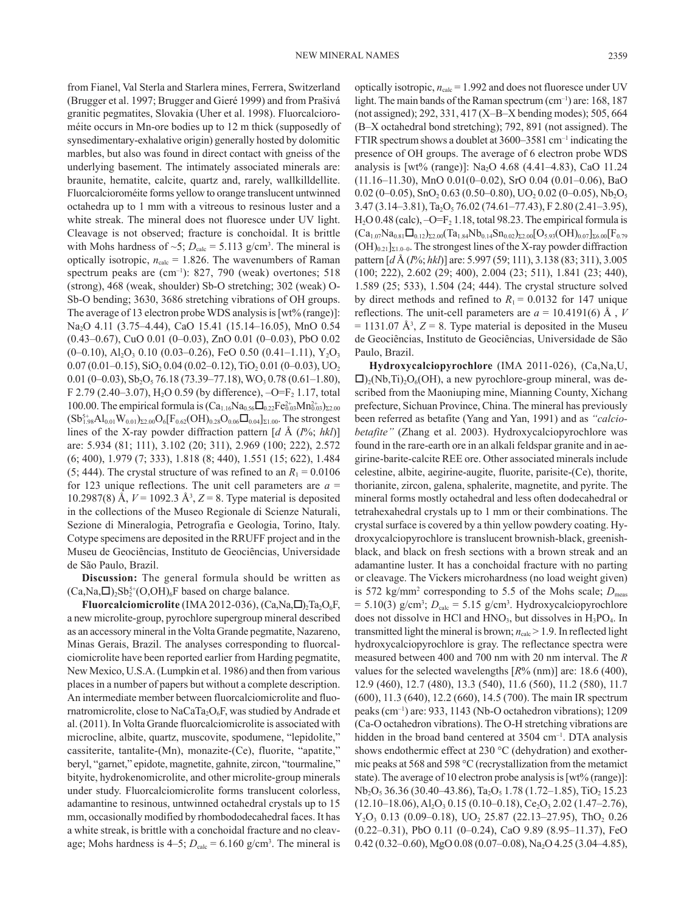from Fianel, Val Sterla and Starlera mines, Ferrera, Switzerland (Brugger et al. 1997; Brugger and Gieré 1999) and from Prašivá granitic pegmatites, Slovakia (Uher et al. 1998). Fluorcalcioroméite occurs in Mn-ore bodies up to 12 m thick (supposedly of synsedimentary-exhalative origin) generally hosted by dolomitic marbles, but also was found in direct contact with gneiss of the underlying basement. The intimately associated minerals are: braunite, hematite, calcite, quartz and, rarely, wallkilldellite. Fluorcalcioroméite forms yellow to orange translucent untwinned octahedra up to 1 mm with a vitreous to resinous luster and a white streak. The mineral does not fluoresce under UV light. Cleavage is not observed; fracture is conchoidal. It is brittle with Mohs hardness of  $\sim 5$ ;  $D_{\text{calc}} = 5.113$  g/cm<sup>3</sup>. The mineral is optically isotropic,  $n_{\text{calc}} = 1.826$ . The wavenumbers of Raman spectrum peaks are  $(cm^{-1})$ : 827, 790 (weak) overtones; 518 (strong), 468 (weak, shoulder) Sb-O stretching; 302 (weak) O-Sb-O bending; 3630, 3686 stretching vibrations of OH groups. The average of 13 electron probe WDS analysis is [wt% (range)]: Na2O 4.11 (3.75–4.44), CaO 15.41 (15.14–16.05), MnO 0.54 (0.43–0.67), CuO 0.01 (0–0.03), ZnO 0.01 (0–0.03), PbO 0.02  $(0-0.10)$ , Al<sub>2</sub>O<sub>3</sub> 0.10  $(0.03-0.26)$ , FeO 0.50  $(0.41-1.11)$ , Y<sub>2</sub>O<sub>3</sub>  $0.07(0.01-0.15),$  SiO<sub>2</sub> $0.04(0.02-0.12),$  TiO<sub>2</sub> $0.01(0-0.03),$  UO<sub>2</sub> 0.01 (0–0.03),  $\text{Sb}_2\text{O}_5$  76.18 (73.39–77.18), WO<sub>3</sub> 0.78 (0.61–1.80), F 2.79 (2.40–3.07), H<sub>2</sub>O 0.59 (by difference),  $-O=F_2$  1.17, total 100.00. The empirical formula is  $(Ca_{1.16}Na_{0.56}\Box_{0.22}Fe_{0.03}^{2+}Mn_{0.03}^{2+})_{\Sigma2.00}$  $(Sb_{1.98}^{5+}Al_{0.01}W_{0.01})_{\Sigma2.00}O_6[F_{0.62}(OH)_{0.28}O_{0.06}\Box_{0.04}]_{\Sigma1.00}$ . The strongest lines of the X-ray powder diffraction pattern [*d* Å (*I*%; *hkl*)] are: 5.934 (81; 111), 3.102 (20; 311), 2.969 (100; 222), 2.572 (6; 400), 1.979 (7; 333), 1.818 (8; 440), 1.551 (15; 622), 1.484 (5; 444). The crystal structure of was refined to an  $R_1 = 0.0106$ for 123 unique reflections. The unit cell parameters are  $a =$ 10.2987(8) Å,  $V = 1092.3 \text{ Å}^3$ ,  $Z = 8$ . Type material is deposited in the collections of the Museo Regionale di Scienze Naturali, Sezione di Mineralogia, Petrografia e Geologia, Torino, Italy. Cotype specimens are deposited in the RRUFF project and in the Museu de Geociências, Instituto de Geociências, Universidade de São Paulo, Brazil.

**Discussion:** The general formula should be written as  $(Ca, Na, \square)_{2}Sb_{2}^{5+}(O, OH)_{6}F$  based on charge balance.

**Fluorcalciomicrolite** (IMA 2012-036),  $(Ca, Na, \Box)$ <sub>7a</sub>, $O_6F$ , a new microlite-group, pyrochlore supergroup mineral described as an accessory mineral in the Volta Grande pegmatite, Nazareno, Minas Gerais, Brazil. The analyses corresponding to fluorcalciomicrolite have been reported earlier from Harding pegmatite, New Mexico, U.S.A. (Lumpkin et al. 1986) and then from various places in a number of papers but without a complete description. An intermediate member between fluorcalciomicrolite and fluornatromicrolite, close to NaCaTa<sub>2</sub>O<sub>6</sub>F, was studied by Andrade et al. (2011). In Volta Grande fluorcalciomicrolite is associated with microcline, albite, quartz, muscovite, spodumene, "lepidolite," cassiterite, tantalite-(Mn), monazite-(Ce), fluorite, "apatite," beryl, "garnet," epidote, magnetite, gahnite, zircon, "tourmaline," bityite, hydrokenomicrolite, and other microlite-group minerals under study. Fluorcalciomicrolite forms translucent colorless, adamantine to resinous, untwinned octahedral crystals up to 15 mm, occasionally modified by rhombododecahedral faces. It has a white streak, is brittle with a conchoidal fracture and no cleavage; Mohs hardness is  $4-5$ ;  $D_{\text{calc}} = 6.160 \text{ g/cm}^3$ . The mineral is optically isotropic,  $n_{\text{calc}} = 1.992$  and does not fluoresce under UV light. The main bands of the Raman spectrum  $(cm<sup>-1</sup>)$  are: 168, 187 (not assigned); 292, 331, 417 (X–B–X bending modes); 505, 664 (B–X octahedral bond stretching); 792, 891 (not assigned). The FTIR spectrum shows a doublet at  $3600-3581$  cm<sup>-1</sup> indicating the presence of OH groups. The average of 6 electron probe WDS analysis is  $[wt\%$  (range)]: Na<sub>2</sub>O 4.68 (4.41–4.83), CaO 11.24 (11.16–11.30), MnO 0.01(0–0.02), SrO 0.04 (0.01–0.06), BaO 0.02 (0-0.05),  $SnO<sub>2</sub> 0.63$  (0.50-0.80), UO<sub>2</sub> 0.02 (0-0.05), Nb<sub>2</sub>O<sub>5</sub>  $3.47 (3.14 - 3.81),$  Ta<sub>2</sub>O<sub>5</sub> 76.02 (74.61–77.43), F 2.80 (2.41–3.95),  $H<sub>2</sub>O$  0.48 (calc),  $-O=F<sub>2</sub> 1.18$ , total 98.23. The empirical formula is  $(Ca_{1.07}Na_{0.81}\Box_{0.12})_{\Sigma2.00}(Ta_{1.84}Nb_{0.14}Sn_{0.02})_{\Sigma2.00}[O_{5.93}(OH)_{0.07}]_{\Sigma6.00}[F_{0.79}]$  $(OH)_{0.21}]_{\Sigma1.0-0}$ . The strongest lines of the X-ray powder diffraction pattern [*d* Å (*I*%; *hkl*)] are: 5.997 (59; 111), 3.138 (83; 311), 3.005 (100; 222), 2.602 (29; 400), 2.004 (23; 511), 1.841 (23; 440), 1.589 (25; 533), 1.504 (24; 444). The crystal structure solved by direct methods and refined to  $R_1 = 0.0132$  for 147 unique reflections. The unit-cell parameters are  $a = 10.4191(6)$  Å, *V*  $= 1131.07 \text{ Å}^3$ ,  $Z = 8$ . Type material is deposited in the Museu de Geociências, Instituto de Geociências, Universidade de São Paulo, Brazil.

**Hydroxycalciopyrochlore** (IMA 2011-026), (Ca,Na,U,  $\Box$ <sub>2</sub>(Nb,Ti)<sub>2</sub>O<sub>6</sub>(OH), a new pyrochlore-group mineral, was described from the Maoniuping mine, Mianning County, Xichang prefecture, Sichuan Province, China. The mineral has previously been referred as betafite (Yang and Yan, 1991) and as *"calciobetafite"* (Zhang et al. 2003). Hydroxycalciopyrochlore was found in the rare-earth ore in an alkali feldspar granite and in aegirine-barite-calcite REE ore. Other associated minerals include celestine, albite, aegirine-augite, fluorite, parisite-(Ce), thorite, thorianite, zircon, galena, sphalerite, magnetite, and pyrite. The mineral forms mostly octahedral and less often dodecahedral or tetrahexahedral crystals up to 1 mm or their combinations. The crystal surface is covered by a thin yellow powdery coating. Hydroxycalciopyrochlore is translucent brownish-black, greenishblack, and black on fresh sections with a brown streak and an adamantine luster. It has a conchoidal fracture with no parting or cleavage. The Vickers microhardness (no load weight given) is 572 kg/mm<sup>2</sup> corresponding to 5.5 of the Mohs scale;  $D_{\text{meas}}$  $= 5.10(3)$  g/cm<sup>3</sup>;  $D_{\text{calc}} = 5.15$  g/cm<sup>3</sup>. Hydroxycalciopyrochlore does not dissolve in HCl and  $HNO<sub>3</sub>$ , but dissolves in  $H<sub>3</sub>PO<sub>4</sub>$ . In transmitted light the mineral is brown;  $n_{\text{calc}} > 1.9$ . In reflected light hydroxycalciopyrochlore is gray. The reflectance spectra were measured between 400 and 700 nm with 20 nm interval. The *R* values for the selected wavelengths [*R*% (nm)] are: 18.6 (400), 12.9 (460), 12.7 (480), 13.3 (540), 11.6 (560), 11.2 (580), 11.7 (600), 11.3 (640), 12.2 (660), 14.5 (700). The main IR spectrum peaks (cm–1) are: 933, 1143 (Nb-O octahedron vibrations); 1209 (Ca-O octahedron vibrations). The O-H stretching vibrations are hidden in the broad band centered at 3504 cm<sup>-1</sup>. DTA analysis shows endothermic effect at 230 °C (dehydration) and exothermic peaks at 568 and 598 °C (recrystallization from the metamict state). The average of 10 electron probe analysis is [wt% (range)]:  $Nb<sub>2</sub>O<sub>5</sub>$  36.36 (30.40–43.86), Ta<sub>2</sub>O<sub>5</sub> 1.78 (1.72–1.85), TiO<sub>2</sub> 15.23  $(12.10-18.06),$  Al<sub>2</sub>O<sub>3</sub> 0.15 (0.10-0.18), Ce<sub>2</sub>O<sub>3</sub> 2.02 (1.47-2.76),  $Y_2O_3$  0.13 (0.09–0.18), UO<sub>2</sub> 25.87 (22.13–27.95), ThO<sub>2</sub> 0.26 (0.22–0.31), PbO 0.11 (0–0.24), CaO 9.89 (8.95–11.37), FeO 0.42 (0.32–0.60), MgO 0.08 (0.07–0.08), Na<sub>2</sub>O 4.25 (3.04–4.85),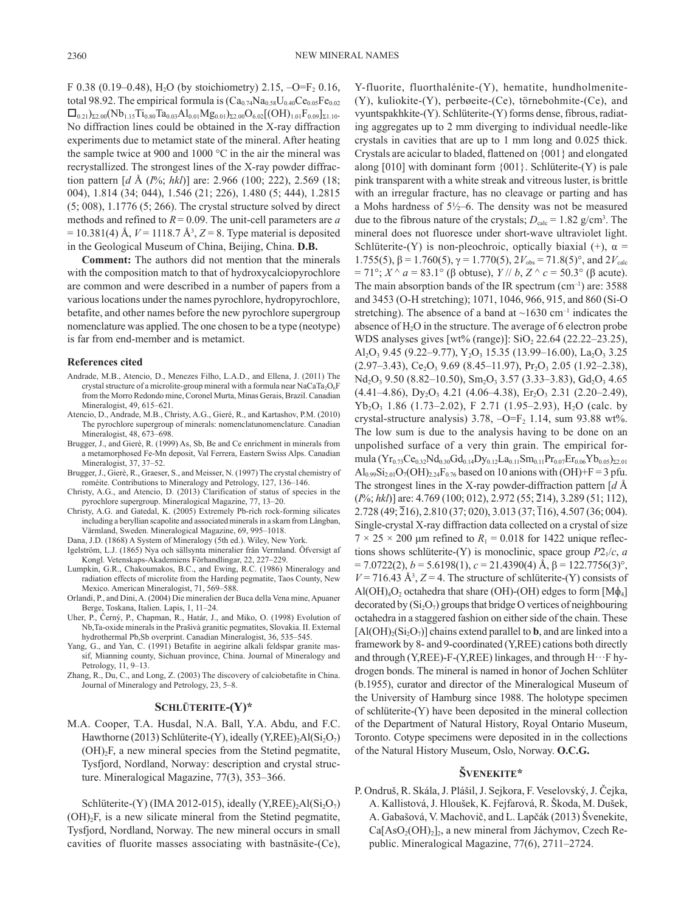F 0.38 (0.19–0.48), H<sub>2</sub>O (by stoichiometry) 2.15,  $-O=F_2$  0.16, total 98.92. The empirical formula is  $(Ca_{0.74}Na_{0.58}U_{0.40}Ce_{0.05}Fe_{0.02}$  $\Box_{0.21}$ )<sub>Σ2.00</sub>(Nb<sub>1.15</sub>Ti<sub>0.80</sub>Ta<sub>0.03</sub>Al<sub>0.01</sub>Mg<sub>0.01</sub>)<sub>Σ2.00</sub>O<sub>6.02</sub>[(OH)<sub>1.01</sub>F<sub>0.09</sub>]<sub>Σ1.10</sub>. No diffraction lines could be obtained in the X-ray diffraction experiments due to metamict state of the mineral. After heating the sample twice at 900 and 1000 °C in the air the mineral was recrystallized. The strongest lines of the X-ray powder diffraction pattern [*d* Å (*I*%; *hkl*)] are: 2.966 (100; 222), 2.569 (18; 004), 1.814 (34; 044), 1.546 (21; 226), 1.480 (5; 444), 1.2815 (5; 008), 1.1776 (5; 266). The crystal structure solved by direct methods and refined to *R*= 0.09. The unit-cell parameters are *a*  $= 10.381(4)$  Å,  $V = 1118.7$  Å<sup>3</sup>,  $Z = 8$ . Type material is deposited in the Geological Museum of China, Beijing, China. **D.B.**

**Comment:** The authors did not mention that the minerals with the composition match to that of hydroxycalciopyrochlore are common and were described in a number of papers from a various locations under the names pyrochlore, hydropyrochlore, betafite, and other names before the new pyrochlore supergroup nomenclature was applied. The one chosen to be a type (neotype) is far from end-member and is metamict.

#### **References cited**

- Andrade, M.B., Atencio, D., Menezes Filho, L.A.D., and Ellena, J. (2011) The crystal structure of a microlite-group mineral with a formula near NaCaTa<sub>2</sub>O<sub>6</sub>F from the Morro Redondo mine, Coronel Murta, Minas Gerais, Brazil. Canadian Mineralogist, 49, 615–621.
- Atencio, D., Andrade, M.B., Christy, A.G., Gieré, R., and Kartashov, P.M. (2010) The pyrochlore supergroup of minerals: nomenclatunomenclature. Canadian Mineralogist, 48, 673–698.
- Brugger, J., and Gierè, R. (1999) As, Sb, Be and Ce enrichment in minerals from a metamorphosed Fe-Mn deposit, Val Ferrera, Eastern Swiss Alps. Canadian Mineralogist, 37, 37–52.
- Brugger, J., Gierè, R., Graeser, S., and Meisser, N. (1997) The crystal chemistry of roméite. Contributions to Mineralogy and Petrology, 127, 136–146.
- Christy, A.G., and Atencio, D. (2013) Clarification of status of species in the pyrochlore supergroup. Mineralogical Magazine, 77, 13–20.
- Christy, A.G. and Gatedal, K. (2005) Extremely Pb-rich rock-forming silicates including a beryllian scapolite and associated minerals in a skarn from Långban, Värmland, Sweden. Mineralogical Magazine, 69, 995–1018.

Dana, J.D. (1868) A System of Mineralogy (5th ed.). Wiley, New York.

- Igelström, L.J. (1865) Nya och sällsynta mineralier från Vermland. Öfversigt af Kongl. Vetenskaps-Akademiens Förhandlingar, 22, 227–229.
- Lumpkin, G.R., Chakoumakos, B.C., and Ewing, R.C. (1986) Mineralogy and radiation effects of microlite from the Harding pegmatite, Taos County, New Mexico. American Mineralogist, 71, 569–588.
- Orlandi, P., and Dini, A. (2004) Die mineralien der Buca della Vena mine, Apuaner Berge, Toskana, Italien. Lapis, 1, 11–24.
- Uher, P., Černý, P., Chapman, R., Határ, J., and Miko, O. (1998) Evolution of Nb,Ta-oxide minerals in the Prašivà granitic pegmatites, Slovakia. II. External hydrothermal Pb,Sb overprint. Canadian Mineralogist, 36, 535–545.
- Yang, G., and Yan, C. (1991) Betafite in aegirine alkali feldspar granite massif, Mianning county, Sichuan province, China. Journal of Mineralogy and Petrology, 11, 9–13.
- Zhang, R., Du, C., and Long, Z. (2003) The discovery of calciobetafite in China. Journal of Mineralogy and Petrology, 23, 5–8.

### **Schlüterite-(Y)\***

M.A. Cooper, T.A. Husdal, N.A. Ball, Y.A. Abdu, and F.C. Hawthorne (2013) Schlüterite-(Y), ideally (Y,REE)<sub>2</sub>Al(Si<sub>2</sub>O<sub>7</sub>)  $(OH)$ <sub>2</sub>F, a new mineral species from the Stetind pegmatite, Tysfjord, Nordland, Norway: description and crystal structure. Mineralogical Magazine, 77(3), 353–366.

Schlüterite-(Y) (IMA 2012-015), ideally (Y,REE)<sub>2</sub>Al(Si<sub>2</sub>O<sub>7</sub>)  $(OH)$ <sub>2</sub>F, is a new silicate mineral from the Stetind pegmatite, Tysfjord, Nordland, Norway. The new mineral occurs in small cavities of fluorite masses associating with bastnäsite-(Ce), Y-fluorite, fluorthalénite-(Y), hematite, hundholmenite- (Y), kuliokite-(Y), perbøeite-(Ce), törnebohmite-(Ce), and vyuntspakhkite-(Y). Schlüterite-(Y) forms dense, fibrous, radiating aggregates up to 2 mm diverging to individual needle-like crystals in cavities that are up to 1 mm long and 0.025 thick. Crystals are acicular to bladed, flattened on {001} and elongated along  $[010]$  with dominant form  $\{001\}$ . Schlüterite- $(Y)$  is pale pink transparent with a white streak and vitreous luster, is brittle with an irregular fracture, has no cleavage or parting and has a Mohs hardness of 5½–6. The density was not be measured due to the fibrous nature of the crystals;  $D_{\text{calc}} = 1.82 \text{ g/cm}^3$ . The mineral does not fluoresce under short-wave ultraviolet light. Schlüterite-(Y) is non-pleochroic, optically biaxial (+),  $\alpha$  = 1.755(5), β = 1.760(5),  $\gamma$  = 1.770(5),  $2V_{obs}$  = 71.8(5)°, and  $2V_{calc}$  $= 71^{\circ}$ ; *X* ^ *a* = 83.1° (β obtuse), *Y* // *b*, *Z* ^ *c* = 50.3° (β acute). The main absorption bands of the IR spectrum  $(cm<sup>-1</sup>)$  are: 3588 and 3453 (O-H stretching); 1071, 1046, 966, 915, and 860 (Si-O stretching). The absence of a band at  $\sim$ 1630 cm<sup>-1</sup> indicates the absence of H<sub>2</sub>O in the structure. The average of 6 electron probe WDS analyses gives [wt% (range)]:  $SiO<sub>2</sub> 22.64$  (22.22–23.25), Al<sub>2</sub>O<sub>3</sub> 9.45 (9.22–9.77), Y<sub>2</sub>O<sub>3</sub> 15.35 (13.99–16.00), La<sub>2</sub>O<sub>3</sub> 3.25  $(2.97-3.43)$ , Ce<sub>2</sub>O<sub>3</sub> 9.69 (8.45–11.97), Pr<sub>2</sub>O<sub>3</sub> 2.05 (1.92–2.38),  $Nd<sub>2</sub>O<sub>3</sub>$  9.50 (8.82–10.50),  $Sm<sub>2</sub>O<sub>3</sub>$  3.57 (3.33–3.83),  $Gd<sub>2</sub>O<sub>3</sub>$  4.65  $(4.41-4.86), \overline{Dy_2O_3}$  4.21  $(4.06-4.38), \overline{Er_2O_3}$  2.31  $(2.20-2.49),$  $Yb<sub>2</sub>O<sub>3</sub>$  1.86 (1.73–2.02), F 2.71 (1.95–2.93), H<sub>2</sub>O (calc. by crystal-structure analysis)  $3.78$ ,  $-O=F<sub>2</sub> 1.14$ , sum  $93.88$  wt%. The low sum is due to the analysis having to be done on an unpolished surface of a very thin grain. The empirical formula  $(Yr_{0.73}Ce_{0.32}Nd_{0.30}Gd_{0.14}Dy_{0.12}La_{0.11}Sm_{0.11}Pr_{0.07}Er_{0.06}Yb_{0.05})_{\Sigma2.01}$  $\text{Al}_{0.99}\text{Si}_{2.01}\text{O}_7(\text{OH})_{2.24}\text{F}_{0.76}$  based on 10 anions with (OH)+F = 3 pfu. The strongest lines in the X-ray powder-diffraction pattern [*d* Å (*I*%; *hkl*)] are: 4.769 (100; 012), 2.972 (55; 214), 3.289 (51; 112), 2.728 (49; 216), 2.810 (37; 020), 3.013 (37; 116), 4.507 (36; 004). Single-crystal X-ray diffraction data collected on a crystal of size  $7 \times 25 \times 200$  µm refined to  $R_1 = 0.018$  for 1422 unique reflections shows schlüterite-(Y) is monoclinic, space group  $P2_1/c$ , *a*  $= 7.0722(2)$ ,  $b = 5.6198(1)$ ,  $c = 21.4390(4)$  Å,  $\beta = 122.7756(3)$ °,  $V = 716.43 \text{ Å}^3$ ,  $Z = 4$ . The structure of schlüterite-(Y) consists of  $\text{Al}(\text{OH})_4\text{O}_2$  octahedra that share (OH)-(OH) edges to form [M $\phi_4$ ] decorated by  $(Si_2O_7)$  groups that bridge O vertices of neighbouring octahedra in a staggered fashion on either side of the chain. These  $[A(OH)_{2}(Si_{2}O_{7})]$  chains extend parallel to **b**, and are linked into a framework by 8- and 9-coordinated (Y,REE) cations both directly and through (Y,REE)-F-(Y,REE) linkages, and through  $H \cdots F$  hydrogen bonds. The mineral is named in honor of Jochen Schlüter (b.1955), curator and director of the Mineralogical Museum of the University of Hamburg since 1988. The holotype specimen of schlüterite-(Y) have been deposited in the mineral collection of the Department of Natural History, Royal Ontario Museum, Toronto. Cotype specimens were deposited in in the collections of the Natural History Museum, Oslo, Norway. **O.C.G.**

# **Švenekite\***

P. Ondruš, R. Skála, J. Plášil, J. Sejkora, F. Veselovský, J. Čejka, A. Kallistová, J. Hloušek, K. Fejfarová, R. Škoda, M. Dušek, A. Gabašová, V. Machovič, and L. Lapčák (2013) Švenekite,  $Ca[AsO<sub>2</sub>(OH)<sub>2</sub>]$ <sub>2</sub>, a new mineral from Jáchymov, Czech Republic. Mineralogical Magazine, 77(6), 2711–2724.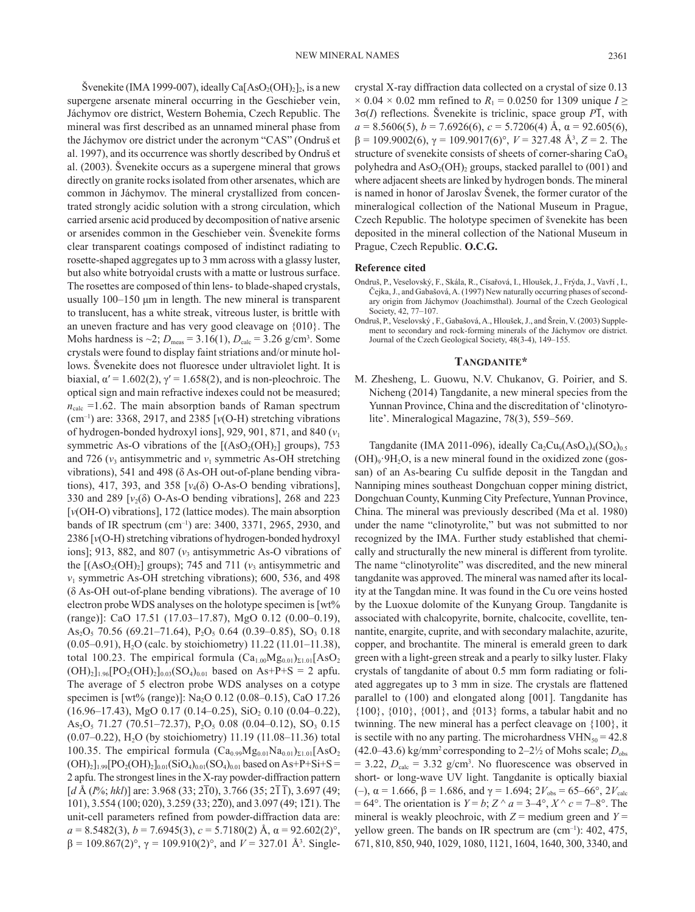Švenekite (IMA 1999-007), ideally Ca $[AsO_2(OH)_2]_2$ , is a new supergene arsenate mineral occurring in the Geschieber vein, Jáchymov ore district, Western Bohemia, Czech Republic. The mineral was first described as an unnamed mineral phase from the Jáchymov ore district under the acronym "CAS" (Ondruš et al. 1997), and its occurrence was shortly described by Ondruš et al. (2003). Švenekite occurs as a supergene mineral that grows directly on granite rocks isolated from other arsenates, which are common in Jáchymov. The mineral crystallized from concentrated strongly acidic solution with a strong circulation, which carried arsenic acid produced by decomposition of native arsenic or arsenides common in the Geschieber vein. Švenekite forms clear transparent coatings composed of indistinct radiating to rosette-shaped aggregates up to 3 mm across with a glassy luster, but also white botryoidal crusts with a matte or lustrous surface. The rosettes are composed of thin lens- to blade-shaped crystals, usually 100–150 μm in length. The new mineral is transparent to translucent, has a white streak, vitreous luster, is brittle with an uneven fracture and has very good cleavage on {010}. The Mohs hardness is  $\sim$ 2;  $D_{\text{meas}}$  = 3.16(1),  $D_{\text{calc}}$  = 3.26 g/cm<sup>3</sup>. Some crystals were found to display faint striations and/or minute hollows. Švenekite does not fluoresce under ultraviolet light. It is biaxial,  $\alpha' = 1.602(2)$ ,  $\gamma' = 1.658(2)$ , and is non-pleochroic. The optical sign and main refractive indexes could not be measured;  $n_{\text{calc}}$  =1.62. The main absorption bands of Raman spectrum (cm<sup>-1</sup>) are: 3368, 2917, and 2385  $[v(O-H)]$  stretching vibrations of hydrogen-bonded hydroxyl ions], 929, 901, 871, and 840 (*v*<sup>1</sup> symmetric As-O vibrations of the  $[(AsO<sub>2</sub>(OH)<sub>2</sub>]$  groups), 753 and 726  $(v_3$  antisymmetric and  $v_1$  symmetric As-OH stretching vibrations), 541 and 498 (δ As-OH out-of-plane bending vibrations), 417, 393, and 358  $[v_4(\delta)$  O-As-O bending vibrations], 330 and 289  $[v_2(\delta)$  O-As-O bending vibrations], 268 and 223 [*v*(OH-O) vibrations], 172 (lattice modes). The main absorption bands of IR spectrum (cm<sup>-1</sup>) are: 3400, 3371, 2965, 2930, and 2386 [*v*(O-H) stretching vibrations of hydrogen-bonded hydroxyl ions]; 913, 882, and 807  $(v_3)$  antisymmetric As-O vibrations of the  $[(AsO<sub>2</sub>(OH)<sub>2</sub>]$  groups); 745 and 711 ( $v<sub>3</sub>$  antisymmetric and *v*1 symmetric As-OH stretching vibrations); 600, 536, and 498 (δ As-OH out-of-plane bending vibrations). The average of 10 electron probe WDS analyses on the holotype specimen is [wt% (range)]: CaO 17.51 (17.03–17.87), MgO 0.12 (0.00–0.19), As<sub>2</sub>O<sub>5</sub> 70.56 (69.21–71.64), P<sub>2</sub>O<sub>5</sub> 0.64 (0.39–0.85), SO<sub>3</sub> 0.18 (0.05–0.91), H2O (calc. by stoichiometry) 11.22 (11.01–11.38), total 100.23. The empirical formula  $(Ca_{1.00}Mg_{0.01})_{\Sigma1.01} [AsO_2]$  $(OH)_2]_{1.96}[PO_2(OH)_2]_{0.03}(SO_4)_{0.01}$  based on As+P+S = 2 apfu. The average of 5 electron probe WDS analyses on a cotype specimen is [wt% (range)]: Na<sub>2</sub>O 0.12 (0.08–0.15), CaO 17.26  $(16.96-17.43)$ , MgO 0.17  $(0.14-0.25)$ , SiO<sub>2</sub> 0.10  $(0.04-0.22)$ , As<sub>2</sub>O<sub>5</sub> 71.27 (70.51-72.37), P<sub>2</sub>O<sub>5</sub> 0.08 (0.04-0.12), SO<sub>3</sub> 0.15  $(0.07-0.22)$ , H<sub>2</sub>O (by stoichiometry) 11.19 (11.08–11.36) total 100.35. The empirical formula  $(Ca_{0.99}Mg_{0.01}Na_{0.01})_{\Sigma1.01}[AsO<sub>2</sub>]$  $(OH)_2$ <sub>1.99</sub> $[PO_2(OH)_2]_{0.01} (SiO_4)_{0.01} (SO_4)_{0.01}$  based on As+P+Si+S = 2 apfu. The strongest lines in the X-ray powder-diffraction pattern [*d* Å (*I*%; *hkl*)] are: 3.968 (33; 210), 3.766 (35; 211), 3.697 (49; 101), 3.554 (100; 020), 3.259 (33; 220), and 3.097 (49; 121). The unit-cell parameters refined from powder-diffraction data are:  $a = 8.5482(3), b = 7.6945(3), c = 5.7180(2)$  Å,  $\alpha = 92.602(2)$ °,  $β = 109.867(2)°$ ,  $γ = 109.910(2)°$ , and  $V = 327.01$  Å<sup>3</sup>. Single-

crystal X-ray diffraction data collected on a crystal of size 0.13  $\times$  0.04  $\times$  0.02 mm refined to *R*<sub>1</sub> = 0.0250 for 1309 unique *I*  $\ge$  $3\sigma(I)$  reflections. Švenekite is triclinic, space group  $P\overline{1}$ , with *a* = 8.5606(5), *b* = 7.6926(6), *c* = 5.7206(4) Å, α = 92.605(6), β = 109.9002(6), γ = 109.9017(6)°, *V* = 327.48 Å3 , *Z* = 2. The structure of svenekite consists of sheets of corner-sharing  $CaO<sub>8</sub>$ polyhedra and  $AsO<sub>2</sub>(OH)$ <sub>2</sub> groups, stacked parallel to  $(001)$  and where adjacent sheets are linked by hydrogen bonds. The mineral is named in honor of Jaroslav Švenek, the former curator of the mineralogical collection of the National Museum in Prague, Czech Republic. The holotype specimen of švenekite has been deposited in the mineral collection of the National Museum in Prague, Czech Republic. **O.C.G.**

### **Reference cited**

- Ondruš, P., Veselovský, F., Skála, R., Císařová, I., Hloušek, J., Frýda, J., Vavří , I., Čejka, J., and Gabašová, A. (1997) New naturally occurring phases of secondary origin from Jáchymov (Joachimsthal). Journal of the Czech Geological Society, 42, 77–107.
- Ondruš, P., Veselovský , F., Gabašová, A., Hloušek, J., and Šrein, V. (2003) Supplement to secondary and rock-forming minerals of the Jáchymov ore district. Journal of the Czech Geological Society, 48(3-4), 149–155.

# **Tangdanite\***

M. Zhesheng, L. Guowu, N.V. Chukanov, G. Poirier, and S. Nicheng (2014) Tangdanite, a new mineral species from the Yunnan Province, China and the discreditation of 'clinotyrolite'. Mineralogical Magazine, 78(3), 559–569.

Tangdanite (IMA 2011-096), ideally  $Ca_2Cu_9(AsO_4)_4(SO_4)_{0.5}$  $(OH)_{9}·9H_{2}O$ , is a new mineral found in the oxidized zone (gossan) of an As-bearing Cu sulfide deposit in the Tangdan and Nanniping mines southeast Dongchuan copper mining district, Dongchuan County, Kunming City Prefecture, Yunnan Province, China. The mineral was previously described (Ma et al. 1980) under the name "clinotyrolite," but was not submitted to nor recognized by the IMA. Further study established that chemically and structurally the new mineral is different from tyrolite. The name "clinotyrolite" was discredited, and the new mineral tangdanite was approved. The mineral was named after its locality at the Tangdan mine. It was found in the Cu ore veins hosted by the Luoxue dolomite of the Kunyang Group. Tangdanite is associated with chalcopyrite, bornite, chalcocite, covellite, tennantite, enargite, cuprite, and with secondary malachite, azurite, copper, and brochantite. The mineral is emerald green to dark green with a light-green streak and a pearly to silky luster. Flaky crystals of tangdanite of about 0.5 mm form radiating or foliated aggregates up to 3 mm in size. The crystals are flattened parallel to (100) and elongated along [001]. Tangdanite has {100}, {010}, {001}, and {013} forms, a tabular habit and no twinning. The new mineral has a perfect cleavage on {100}, it is sectile with no any parting. The microhardness  $VHN<sub>50</sub> = 42.8$  $(42.0-43.6)$  kg/mm<sup>2</sup> corresponding to  $2-2\frac{1}{2}$  of Mohs scale;  $D_{obs}$  $= 3.22$ ,  $D_{\text{calc}} = 3.32$  g/cm<sup>3</sup>. No fluorescence was observed in short- or long-wave UV light. Tangdanite is optically biaxial (–),  $\alpha$  = 1.666,  $\beta$  = 1.686, and  $\gamma$  = 1.694;  $2V_{obs}$  = 65–66°,  $2V_{calc}$  $= 64^\circ$ . The orientation is  $Y = b$ ;  $Z^\wedge a = 3-4^\circ$ ,  $X^\wedge c = 7-8^\circ$ . The mineral is weakly pleochroic, with  $Z =$  medium green and  $Y =$ yellow green. The bands on IR spectrum are  $(cm^{-1})$ : 402, 475, 671, 810, 850, 940, 1029, 1080, 1121, 1604, 1640, 300, 3340, and